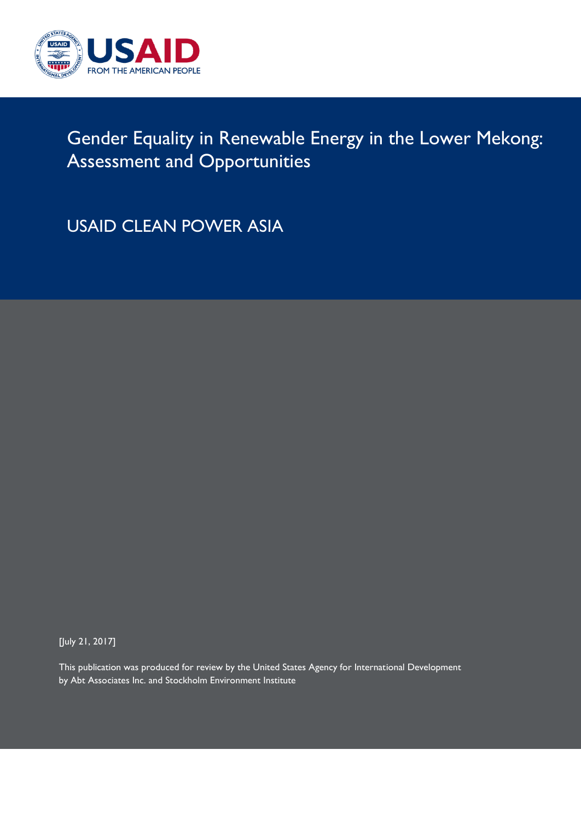

## Gender Equality in Renewable Energy in the Lower Mekong: Assessment and Opportunities

USAID CLEAN POWER ASIA

[July 21, 2017]

This publication was produced for review by the United States Agency for International Development by Abt Associates Inc. and Stockholm Environment Institute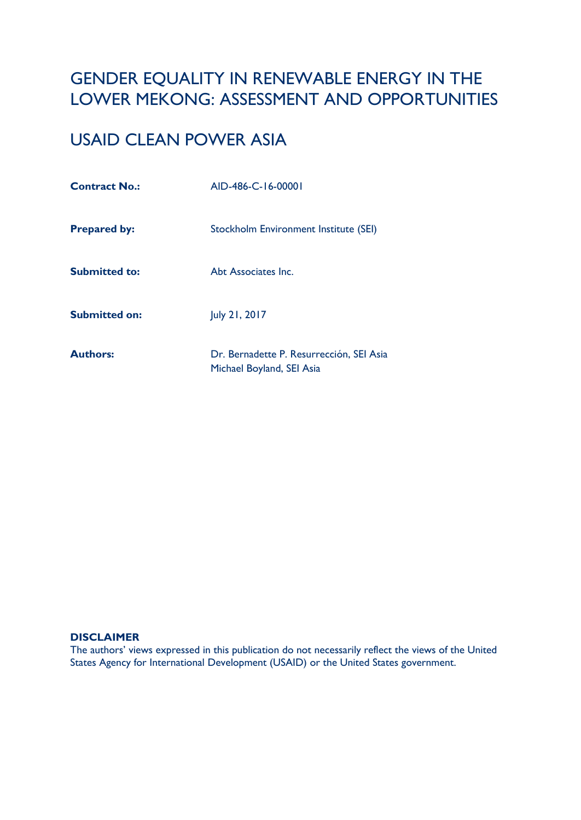## GENDER EQUALITY IN RENEWABLE ENERGY IN THE LOWER MEKONG: ASSESSMENT AND OPPORTUNITIES

## USAID CLEAN POWER ASIA

| <b>Contract No.:</b> | AID-486-C-16-00001                                                    |
|----------------------|-----------------------------------------------------------------------|
| <b>Prepared by:</b>  | Stockholm Environment Institute (SEI)                                 |
| <b>Submitted to:</b> | Abt Associates Inc.                                                   |
| <b>Submitted on:</b> | July 21, 2017                                                         |
| <b>Authors:</b>      | Dr. Bernadette P. Resurrección, SEI Asia<br>Michael Boyland, SEI Asia |

#### **DISCLAIMER**

The authors' views expressed in this publication do not necessarily reflect the views of the United States Agency for International Development (USAID) or the United States government.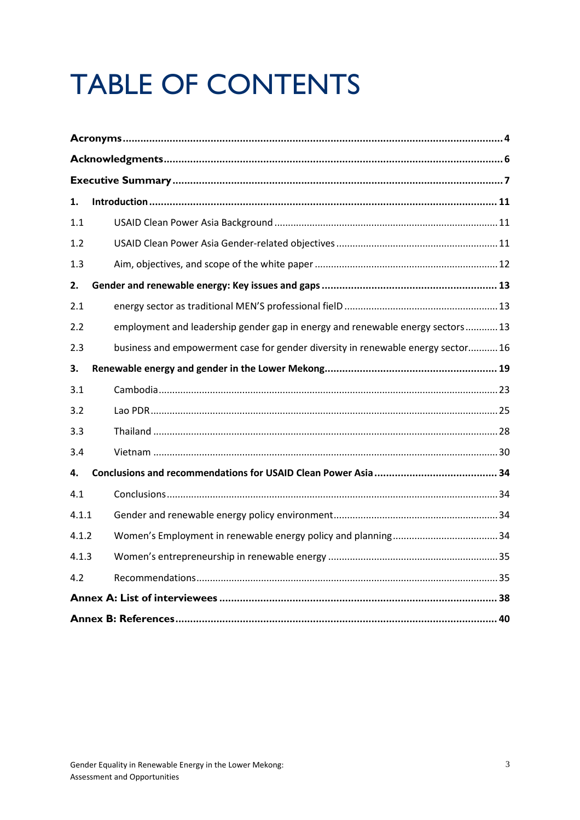# **TABLE OF CONTENTS**

| 1.    |                                                                                  |
|-------|----------------------------------------------------------------------------------|
| 1.1   |                                                                                  |
| 1.2   |                                                                                  |
| 1.3   |                                                                                  |
| 2.    |                                                                                  |
| 2.1   |                                                                                  |
| 2.2   | employment and leadership gender gap in energy and renewable energy sectors 13   |
| 2.3   | business and empowerment case for gender diversity in renewable energy sector 16 |
| 3.    |                                                                                  |
| 3.1   |                                                                                  |
| 3.2   |                                                                                  |
| 3.3   |                                                                                  |
| 3.4   |                                                                                  |
| 4.    |                                                                                  |
| 4.1   |                                                                                  |
| 4.1.1 |                                                                                  |
| 4.1.2 |                                                                                  |
| 4.1.3 |                                                                                  |
| 4.2   |                                                                                  |
|       |                                                                                  |
|       |                                                                                  |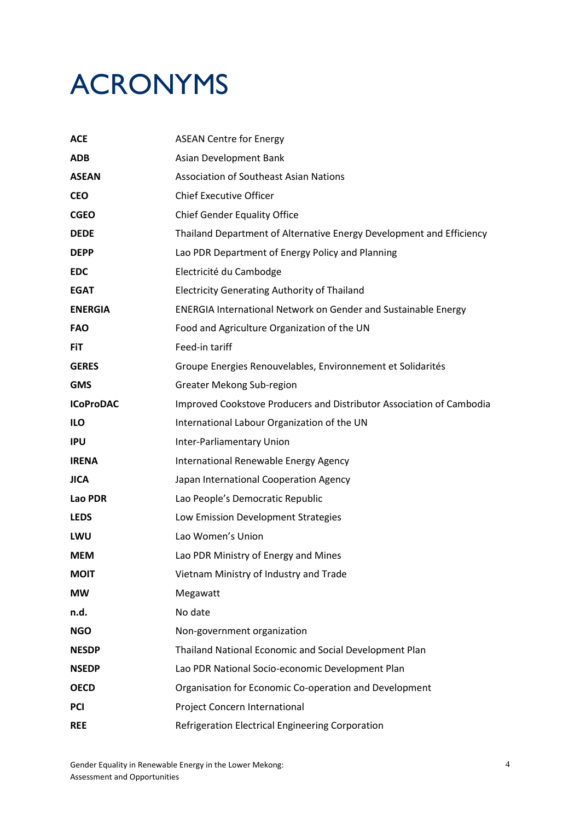## ACRONYMS

| <b>ACE</b>       | <b>ASEAN Centre for Energy</b>                                        |
|------------------|-----------------------------------------------------------------------|
| <b>ADB</b>       | Asian Development Bank                                                |
| <b>ASEAN</b>     | <b>Association of Southeast Asian Nations</b>                         |
| <b>CEO</b>       | <b>Chief Executive Officer</b>                                        |
| <b>CGEO</b>      | <b>Chief Gender Equality Office</b>                                   |
| <b>DEDE</b>      | Thailand Department of Alternative Energy Development and Efficiency  |
| <b>DEPP</b>      | Lao PDR Department of Energy Policy and Planning                      |
| <b>EDC</b>       | Electricité du Cambodge                                               |
| <b>EGAT</b>      | <b>Electricity Generating Authority of Thailand</b>                   |
| <b>ENERGIA</b>   | <b>ENERGIA International Network on Gender and Sustainable Energy</b> |
| <b>FAO</b>       | Food and Agriculture Organization of the UN                           |
| <b>FiT</b>       | Feed-in tariff                                                        |
| <b>GERES</b>     | Groupe Energies Renouvelables, Environnement et Solidarités           |
| <b>GMS</b>       | Greater Mekong Sub-region                                             |
| <b>ICoProDAC</b> | Improved Cookstove Producers and Distributor Association of Cambodia  |
| <b>ILO</b>       | International Labour Organization of the UN                           |
| <b>IPU</b>       | Inter-Parliamentary Union                                             |
| <b>IRENA</b>     | International Renewable Energy Agency                                 |
| <b>JICA</b>      | Japan International Cooperation Agency                                |
| Lao PDR          | Lao People's Democratic Republic                                      |
| <b>LEDS</b>      | Low Emission Development Strategies                                   |
| LWU              | Lao Women's Union                                                     |
| <b>MEM</b>       | Lao PDR Ministry of Energy and Mines                                  |
| <b>MOIT</b>      | Vietnam Ministry of Industry and Trade                                |
| <b>MW</b>        | Megawatt                                                              |
| n.d.             | No date                                                               |
| <b>NGO</b>       | Non-government organization                                           |
| <b>NESDP</b>     | Thailand National Economic and Social Development Plan                |
| <b>NSEDP</b>     | Lao PDR National Socio-economic Development Plan                      |
| <b>OECD</b>      | Organisation for Economic Co-operation and Development                |
| <b>PCI</b>       | Project Concern International                                         |
| <b>REE</b>       | Refrigeration Electrical Engineering Corporation                      |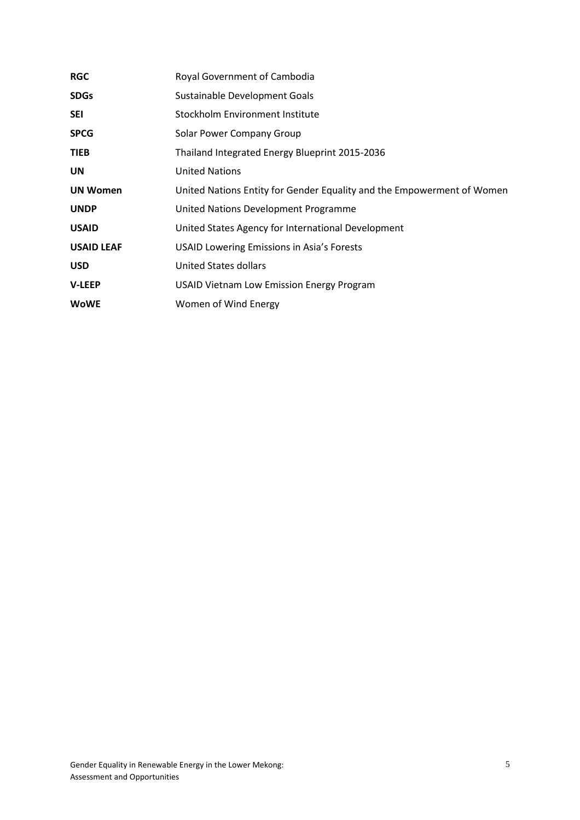| <b>RGC</b>        | Royal Government of Cambodia                                           |
|-------------------|------------------------------------------------------------------------|
| <b>SDGs</b>       | Sustainable Development Goals                                          |
| <b>SEI</b>        | Stockholm Environment Institute                                        |
| <b>SPCG</b>       | Solar Power Company Group                                              |
| <b>TIEB</b>       | Thailand Integrated Energy Blueprint 2015-2036                         |
| UN                | <b>United Nations</b>                                                  |
| <b>UN Women</b>   | United Nations Entity for Gender Equality and the Empowerment of Women |
| <b>UNDP</b>       | United Nations Development Programme                                   |
| <b>USAID</b>      | United States Agency for International Development                     |
| <b>USAID LEAF</b> | <b>USAID Lowering Emissions in Asia's Forests</b>                      |
| <b>USD</b>        | United States dollars                                                  |
| <b>V-LEEP</b>     | <b>USAID Vietnam Low Emission Energy Program</b>                       |
| <b>WoWE</b>       | Women of Wind Energy                                                   |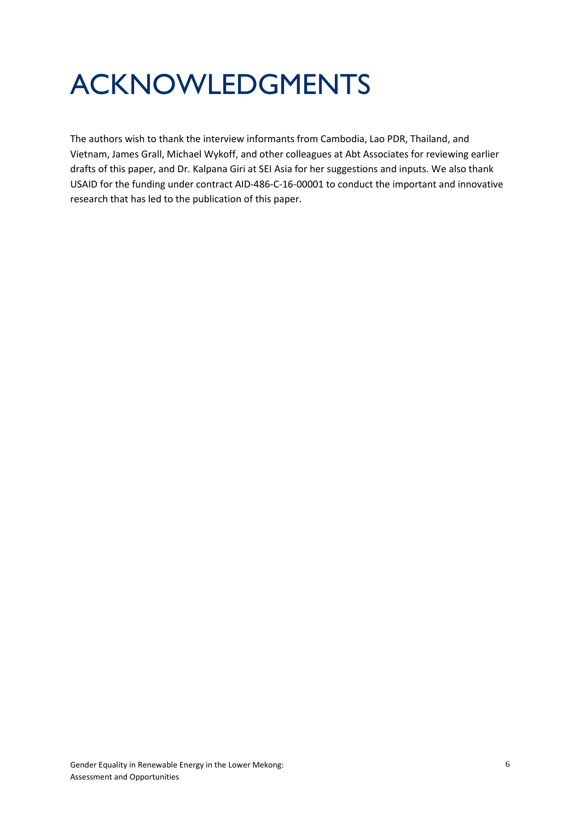## ACKNOWLEDGMENTS

The authors wish to thank the interview informants from Cambodia, Lao PDR, Thailand, and Vietnam, James Grall, Michael Wykoff, and other colleagues at Abt Associates for reviewing earlier drafts of this paper, and Dr. Kalpana Giri at SEI Asia for her suggestions and inputs. We also thank USAID for the funding under contract AID-486-C-16-00001 to conduct the important and innovative research that has led to the publication of this paper.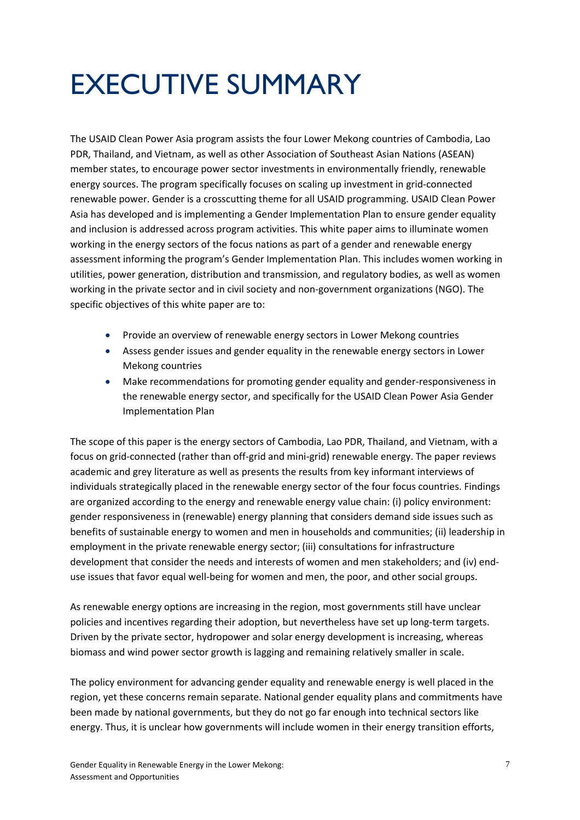## EXECUTIVE SUMMARY

The USAID Clean Power Asia program assists the four Lower Mekong countries of Cambodia, Lao PDR, Thailand, and Vietnam, as well as other Association of Southeast Asian Nations (ASEAN) member states, to encourage power sector investments in environmentally friendly, renewable energy sources. The program specifically focuses on scaling up investment in grid-connected renewable power. Gender is a crosscutting theme for all USAID programming. USAID Clean Power Asia has developed and is implementing a Gender Implementation Plan to ensure gender equality and inclusion is addressed across program activities. This white paper aims to illuminate women working in the energy sectors of the focus nations as part of a gender and renewable energy assessment informing the program's Gender Implementation Plan. This includes women working in utilities, power generation, distribution and transmission, and regulatory bodies, as well as women working in the private sector and in civil society and non-government organizations (NGO). The specific objectives of this white paper are to:

- Provide an overview of renewable energy sectors in Lower Mekong countries
- Assess gender issues and gender equality in the renewable energy sectors in Lower Mekong countries
- Make recommendations for promoting gender equality and gender-responsiveness in the renewable energy sector, and specifically for the USAID Clean Power Asia Gender Implementation Plan

The scope of this paper is the energy sectors of Cambodia, Lao PDR, Thailand, and Vietnam, with a focus on grid-connected (rather than off-grid and mini-grid) renewable energy. The paper reviews academic and grey literature as well as presents the results from key informant interviews of individuals strategically placed in the renewable energy sector of the four focus countries. Findings are organized according to the energy and renewable energy value chain: (i) policy environment: gender responsiveness in (renewable) energy planning that considers demand side issues such as benefits of sustainable energy to women and men in households and communities; (ii) leadership in employment in the private renewable energy sector; (iii) consultations for infrastructure development that consider the needs and interests of women and men stakeholders; and (iv) enduse issues that favor equal well-being for women and men, the poor, and other social groups.

As renewable energy options are increasing in the region, most governments still have unclear policies and incentives regarding their adoption, but nevertheless have set up long-term targets. Driven by the private sector, hydropower and solar energy development is increasing, whereas biomass and wind power sector growth is lagging and remaining relatively smaller in scale.

The policy environment for advancing gender equality and renewable energy is well placed in the region, yet these concerns remain separate. National gender equality plans and commitments have been made by national governments, but they do not go far enough into technical sectors like energy. Thus, it is unclear how governments will include women in their energy transition efforts,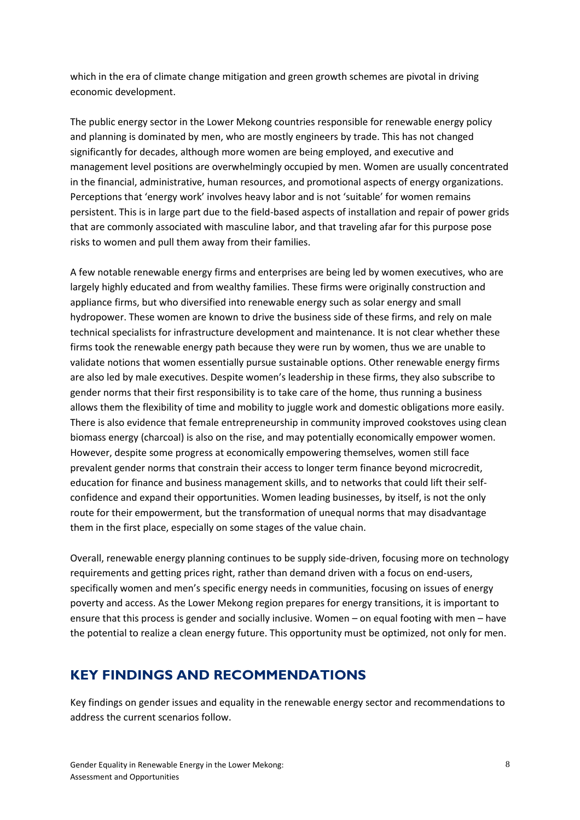which in the era of climate change mitigation and green growth schemes are pivotal in driving economic development.

The public energy sector in the Lower Mekong countries responsible for renewable energy policy and planning is dominated by men, who are mostly engineers by trade. This has not changed significantly for decades, although more women are being employed, and executive and management level positions are overwhelmingly occupied by men. Women are usually concentrated in the financial, administrative, human resources, and promotional aspects of energy organizations. Perceptions that 'energy work' involves heavy labor and is not 'suitable' for women remains persistent. This is in large part due to the field-based aspects of installation and repair of power grids that are commonly associated with masculine labor, and that traveling afar for this purpose pose risks to women and pull them away from their families.

A few notable renewable energy firms and enterprises are being led by women executives, who are largely highly educated and from wealthy families. These firms were originally construction and appliance firms, but who diversified into renewable energy such as solar energy and small hydropower. These women are known to drive the business side of these firms, and rely on male technical specialists for infrastructure development and maintenance. It is not clear whether these firms took the renewable energy path because they were run by women, thus we are unable to validate notions that women essentially pursue sustainable options. Other renewable energy firms are also led by male executives. Despite women's leadership in these firms, they also subscribe to gender norms that their first responsibility is to take care of the home, thus running a business allows them the flexibility of time and mobility to juggle work and domestic obligations more easily. There is also evidence that female entrepreneurship in community improved cookstoves using clean biomass energy (charcoal) is also on the rise, and may potentially economically empower women. However, despite some progress at economically empowering themselves, women still face prevalent gender norms that constrain their access to longer term finance beyond microcredit, education for finance and business management skills, and to networks that could lift their selfconfidence and expand their opportunities. Women leading businesses, by itself, is not the only route for their empowerment, but the transformation of unequal norms that may disadvantage them in the first place, especially on some stages of the value chain.

Overall, renewable energy planning continues to be supply side-driven, focusing more on technology requirements and getting prices right, rather than demand driven with a focus on end-users, specifically women and men's specific energy needs in communities, focusing on issues of energy poverty and access. As the Lower Mekong region prepares for energy transitions, it is important to ensure that this process is gender and socially inclusive. Women – on equal footing with men – have the potential to realize a clean energy future. This opportunity must be optimized, not only for men.

### **KEY FINDINGS AND RECOMMENDATIONS**

Key findings on gender issues and equality in the renewable energy sector and recommendations to address the current scenarios follow.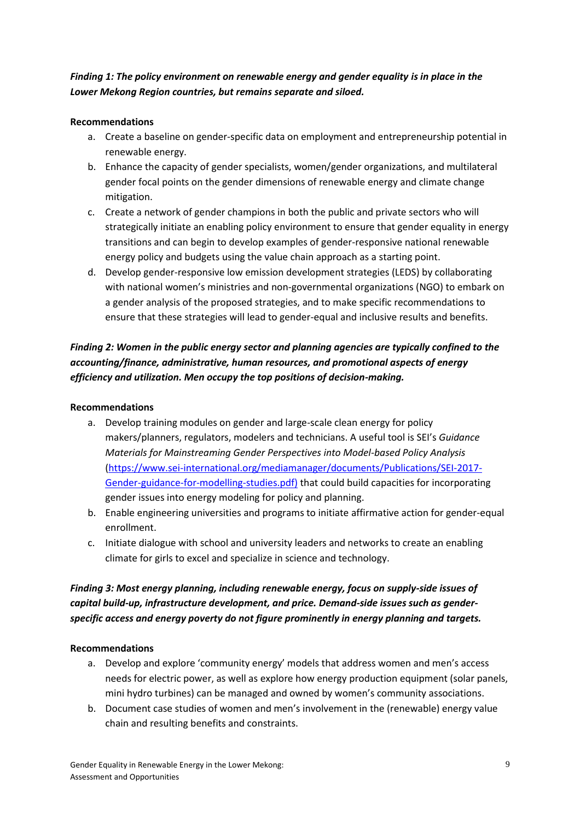#### *Finding 1: The policy environment on renewable energy and gender equality is in place in the Lower Mekong Region countries, but remains separate and siloed.*

#### **Recommendations**

- a. Create a baseline on gender-specific data on employment and entrepreneurship potential in renewable energy.
- b. Enhance the capacity of gender specialists, women/gender organizations, and multilateral gender focal points on the gender dimensions of renewable energy and climate change mitigation.
- c. Create a network of gender champions in both the public and private sectors who will strategically initiate an enabling policy environment to ensure that gender equality in energy transitions and can begin to develop examples of gender-responsive national renewable energy policy and budgets using the value chain approach as a starting point.
- d. Develop gender-responsive low emission development strategies (LEDS) by collaborating with national women's ministries and non-governmental organizations (NGO) to embark on a gender analysis of the proposed strategies, and to make specific recommendations to ensure that these strategies will lead to gender-equal and inclusive results and benefits.

#### *Finding 2: Women in the public energy sector and planning agencies are typically confined to the accounting/finance, administrative, human resources, and promotional aspects of energy efficiency and utilization. Men occupy the top positions of decision-making.*

#### **Recommendations**

- a. Develop training modules on gender and large-scale clean energy for policy makers/planners, regulators, modelers and technicians. A useful tool is SEI's *Guidance Materials for Mainstreaming Gender Perspectives into Model-based Policy Analysis*  [\(https://www.sei-international.org/mediamanager/documents/Publications/SEI-2017-](https://www.sei-international.org/mediamanager/documents/Publications/SEI-2017-Gender-guidance-for-modelling-studies.pdf)) [Gender-guidance-for-modelling-studies.pdf\)](https://www.sei-international.org/mediamanager/documents/Publications/SEI-2017-Gender-guidance-for-modelling-studies.pdf)) that could build capacities for incorporating gender issues into energy modeling for policy and planning.
- b. Enable engineering universities and programs to initiate affirmative action for gender-equal enrollment.
- c. Initiate dialogue with school and university leaders and networks to create an enabling climate for girls to excel and specialize in science and technology.

#### *Finding 3: Most energy planning, including renewable energy, focus on supply-side issues of capital build-up, infrastructure development, and price. Demand-side issues such as genderspecific access and energy poverty do not figure prominently in energy planning and targets.*

#### **Recommendations**

- a. Develop and explore 'community energy' models that address women and men's access needs for electric power, as well as explore how energy production equipment (solar panels, mini hydro turbines) can be managed and owned by women's community associations.
- b. Document case studies of women and men's involvement in the (renewable) energy value chain and resulting benefits and constraints.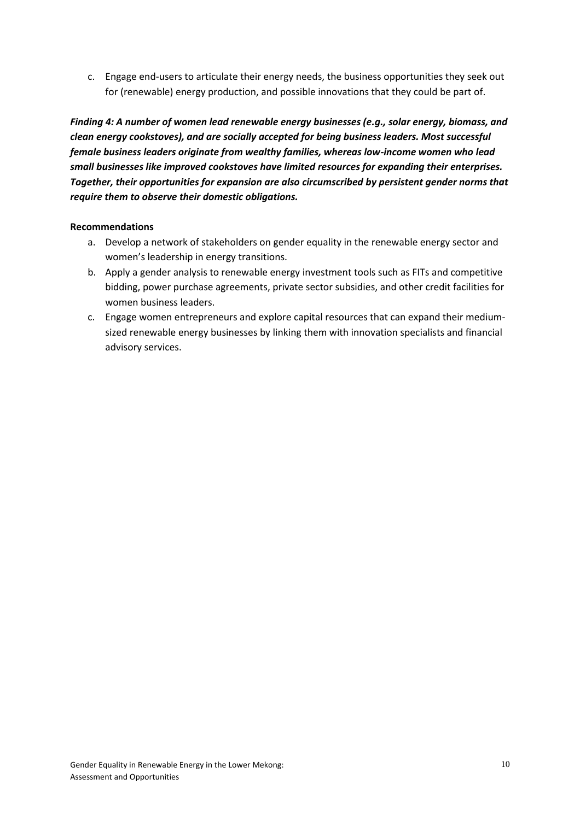c. Engage end-users to articulate their energy needs, the business opportunities they seek out for (renewable) energy production, and possible innovations that they could be part of.

*Finding 4: A number of women lead renewable energy businesses (e.g., solar energy, biomass, and clean energy cookstoves), and are socially accepted for being business leaders. Most successful female business leaders originate from wealthy families, whereas low-income women who lead small businesses like improved cookstoves have limited resources for expanding their enterprises. Together, their opportunities for expansion are also circumscribed by persistent gender norms that require them to observe their domestic obligations.*

#### **Recommendations**

- a. Develop a network of stakeholders on gender equality in the renewable energy sector and women's leadership in energy transitions.
- b. Apply a gender analysis to renewable energy investment tools such as FITs and competitive bidding, power purchase agreements, private sector subsidies, and other credit facilities for women business leaders.
- c. Engage women entrepreneurs and explore capital resources that can expand their mediumsized renewable energy businesses by linking them with innovation specialists and financial advisory services.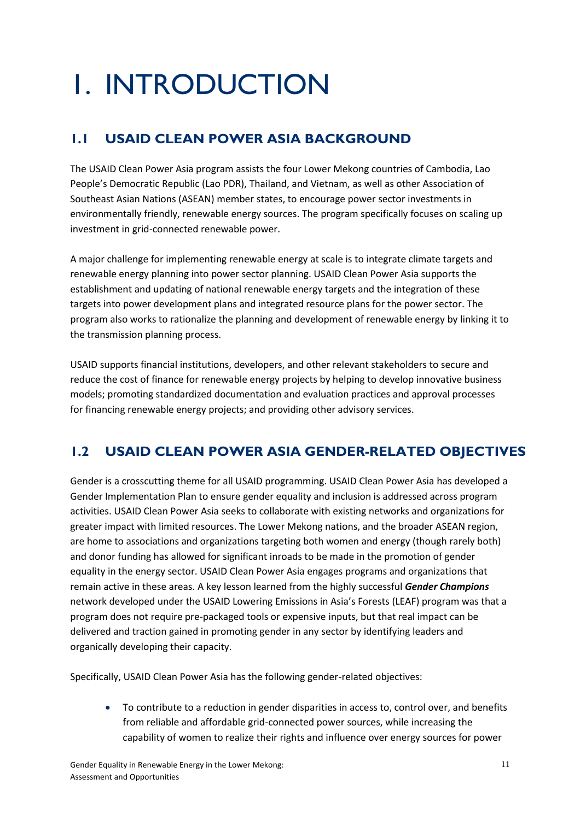# 1. INTRODUCTION

## **1.1 USAID CLEAN POWER ASIA BACKGROUND**

The USAID Clean Power Asia program assists the four Lower Mekong countries of Cambodia, Lao People's Democratic Republic (Lao PDR), Thailand, and Vietnam, as well as other Association of Southeast Asian Nations (ASEAN) member states, to encourage power sector investments in environmentally friendly, renewable energy sources. The program specifically focuses on scaling up investment in grid-connected renewable power.

A major challenge for implementing renewable energy at scale is to integrate climate targets and renewable energy planning into power sector planning. USAID Clean Power Asia supports the establishment and updating of national renewable energy targets and the integration of these targets into power development plans and integrated resource plans for the power sector. The program also works to rationalize the planning and development of renewable energy by linking it to the transmission planning process.

USAID supports financial institutions, developers, and other relevant stakeholders to secure and reduce the cost of finance for renewable energy projects by helping to develop innovative business models; promoting standardized documentation and evaluation practices and approval processes for financing renewable energy projects; and providing other advisory services.

## **1.2 USAID CLEAN POWER ASIA GENDER-RELATED OBJECTIVES**

Gender is a crosscutting theme for all USAID programming. USAID Clean Power Asia has developed a Gender Implementation Plan to ensure gender equality and inclusion is addressed across program activities. USAID Clean Power Asia seeks to collaborate with existing networks and organizations for greater impact with limited resources. The Lower Mekong nations, and the broader ASEAN region, are home to associations and organizations targeting both women and energy (though rarely both) and donor funding has allowed for significant inroads to be made in the promotion of gender equality in the energy sector. USAID Clean Power Asia engages programs and organizations that remain active in these areas. A key lesson learned from the highly successful *Gender Champions* network developed under the USAID Lowering Emissions in Asia's Forests (LEAF) program was that a program does not require pre-packaged tools or expensive inputs, but that real impact can be delivered and traction gained in promoting gender in any sector by identifying leaders and organically developing their capacity.

Specifically, USAID Clean Power Asia has the following gender-related objectives:

 To contribute to a reduction in gender disparities in access to, control over, and benefits from reliable and affordable grid-connected power sources, while increasing the capability of women to realize their rights and influence over energy sources for power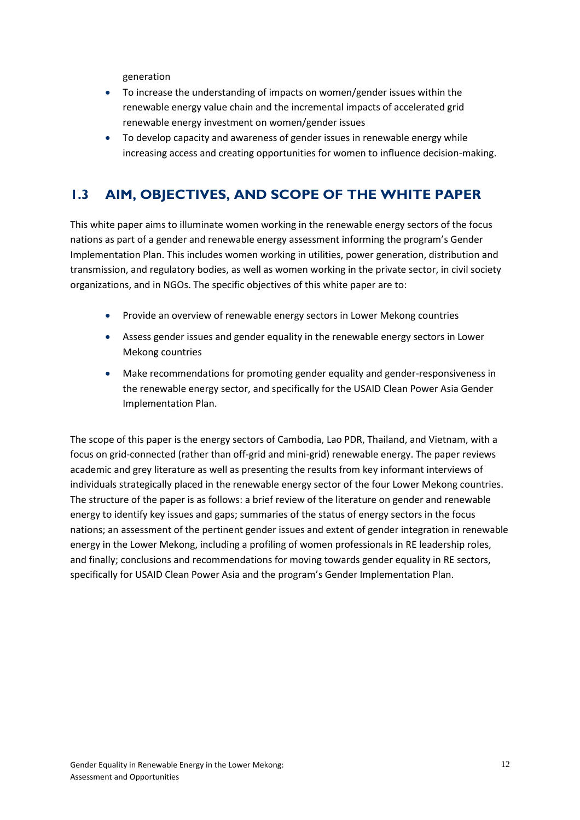generation

- To increase the understanding of impacts on women/gender issues within the renewable energy value chain and the incremental impacts of accelerated grid renewable energy investment on women/gender issues
- To develop capacity and awareness of gender issues in renewable energy while increasing access and creating opportunities for women to influence decision-making.

### **1.3 AIM, OBJECTIVES, AND SCOPE OF THE WHITE PAPER**

This white paper aims to illuminate women working in the renewable energy sectors of the focus nations as part of a gender and renewable energy assessment informing the program's Gender Implementation Plan. This includes women working in utilities, power generation, distribution and transmission, and regulatory bodies, as well as women working in the private sector, in civil society organizations, and in NGOs. The specific objectives of this white paper are to:

- Provide an overview of renewable energy sectors in Lower Mekong countries
- Assess gender issues and gender equality in the renewable energy sectors in Lower Mekong countries
- Make recommendations for promoting gender equality and gender-responsiveness in the renewable energy sector, and specifically for the USAID Clean Power Asia Gender Implementation Plan.

The scope of this paper is the energy sectors of Cambodia, Lao PDR, Thailand, and Vietnam, with a focus on grid-connected (rather than off-grid and mini-grid) renewable energy. The paper reviews academic and grey literature as well as presenting the results from key informant interviews of individuals strategically placed in the renewable energy sector of the four Lower Mekong countries. The structure of the paper is as follows: a brief review of the literature on gender and renewable energy to identify key issues and gaps; summaries of the status of energy sectors in the focus nations; an assessment of the pertinent gender issues and extent of gender integration in renewable energy in the Lower Mekong, including a profiling of women professionals in RE leadership roles, and finally; conclusions and recommendations for moving towards gender equality in RE sectors, specifically for USAID Clean Power Asia and the program's Gender Implementation Plan.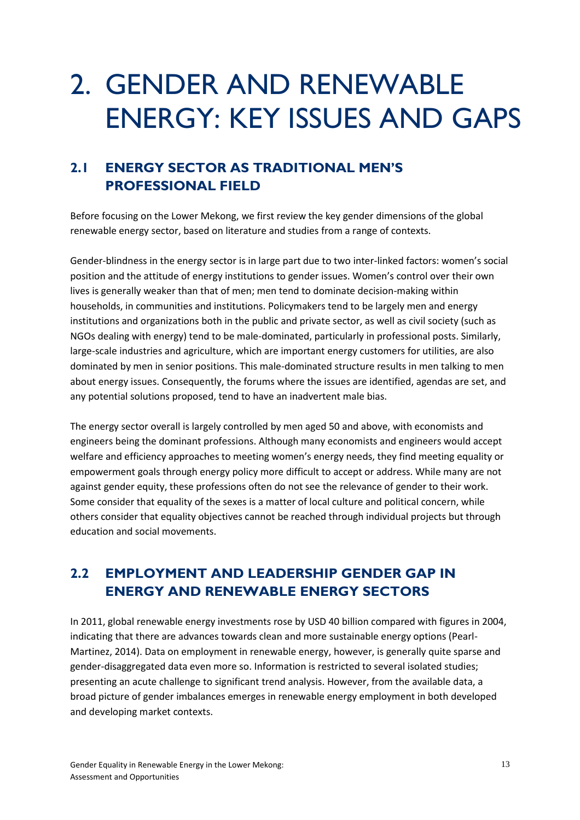## 2. GENDER AND RENEWABLE ENERGY: KEY ISSUES AND GAPS

## **2.1 ENERGY SECTOR AS TRADITIONAL MEN'S PROFESSIONAL FIELD**

Before focusing on the Lower Mekong, we first review the key gender dimensions of the global renewable energy sector, based on literature and studies from a range of contexts.

Gender-blindness in the energy sector is in large part due to two inter-linked factors: women's social position and the attitude of energy institutions to gender issues. Women's control over their own lives is generally weaker than that of men; men tend to dominate decision-making within households, in communities and institutions. Policymakers tend to be largely men and energy institutions and organizations both in the public and private sector, as well as civil society (such as NGOs dealing with energy) tend to be male-dominated, particularly in professional posts. Similarly, large-scale industries and agriculture, which are important energy customers for utilities, are also dominated by men in senior positions. This male-dominated structure results in men talking to men about energy issues. Consequently, the forums where the issues are identified, agendas are set, and any potential solutions proposed, tend to have an inadvertent male bias.

The energy sector overall is largely controlled by men aged 50 and above, with economists and engineers being the dominant professions. Although many economists and engineers would accept welfare and efficiency approaches to meeting women's energy needs, they find meeting equality or empowerment goals through energy policy more difficult to accept or address. While many are not against gender equity, these professions often do not see the relevance of gender to their work. Some consider that equality of the sexes is a matter of local culture and political concern, while others consider that equality objectives cannot be reached through individual projects but through education and social movements.

### **2.2 EMPLOYMENT AND LEADERSHIP GENDER GAP IN ENERGY AND RENEWABLE ENERGY SECTORS**

In 2011, global renewable energy investments rose by USD 40 billion compared with figures in 2004, indicating that there are advances towards clean and more sustainable energy options (Pearl-Martinez, 2014). Data on employment in renewable energy, however, is generally quite sparse and gender-disaggregated data even more so. Information is restricted to several isolated studies; presenting an acute challenge to significant trend analysis. However, from the available data, a broad picture of gender imbalances emerges in renewable energy employment in both developed and developing market contexts.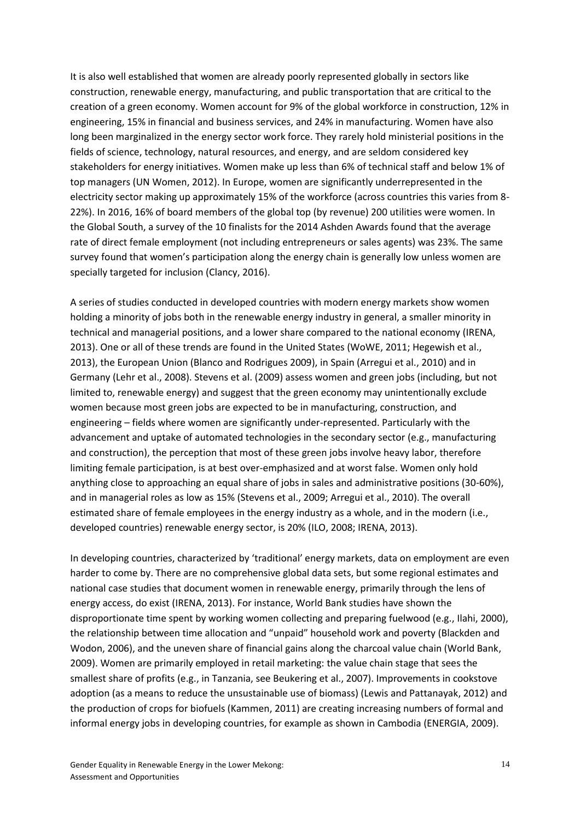It is also well established that women are already poorly represented globally in sectors like construction, renewable energy, manufacturing, and public transportation that are critical to the creation of a green economy. Women account for 9% of the global workforce in construction, 12% in engineering, 15% in financial and business services, and 24% in manufacturing. Women have also long been marginalized in the energy sector work force. They rarely hold ministerial positions in the fields of science, technology, natural resources, and energy, and are seldom considered key stakeholders for energy initiatives. Women make up less than 6% of technical staff and below 1% of top managers (UN Women, 2012). In Europe, women are significantly underrepresented in the electricity sector making up approximately 15% of the workforce (across countries this varies from 8- 22%). In 2016, 16% of board members of the global top (by revenue) 200 utilities were women. In the Global South, a survey of the 10 finalists for the 2014 Ashden Awards found that the average rate of direct female employment (not including entrepreneurs or sales agents) was 23%. The same survey found that women's participation along the energy chain is generally low unless women are specially targeted for inclusion (Clancy, 2016).

A series of studies conducted in developed countries with modern energy markets show women holding a minority of jobs both in the renewable energy industry in general, a smaller minority in technical and managerial positions, and a lower share compared to the national economy (IRENA, 2013). One or all of these trends are found in the United States (WoWE, 2011; Hegewish et al., 2013), the European Union (Blanco and Rodrigues 2009), in Spain (Arregui et al., 2010) and in Germany (Lehr et al., 2008). Stevens et al. (2009) assess women and green jobs (including, but not limited to, renewable energy) and suggest that the green economy may unintentionally exclude women because most green jobs are expected to be in manufacturing, construction, and engineering – fields where women are significantly under-represented. Particularly with the advancement and uptake of automated technologies in the secondary sector (e.g., manufacturing and construction), the perception that most of these green jobs involve heavy labor, therefore limiting female participation, is at best over-emphasized and at worst false. Women only hold anything close to approaching an equal share of jobs in sales and administrative positions (30-60%), and in managerial roles as low as 15% (Stevens et al., 2009; Arregui et al., 2010). The overall estimated share of female employees in the energy industry as a whole, and in the modern (i.e., developed countries) renewable energy sector, is 20% (ILO, 2008; IRENA, 2013).

In developing countries, characterized by 'traditional' energy markets, data on employment are even harder to come by. There are no comprehensive global data sets, but some regional estimates and national case studies that document women in renewable energy, primarily through the lens of energy access, do exist (IRENA, 2013). For instance, World Bank studies have shown the disproportionate time spent by working women collecting and preparing fuelwood (e.g., Ilahi, 2000), the relationship between time allocation and "unpaid" household work and poverty (Blackden and Wodon, 2006), and the uneven share of financial gains along the charcoal value chain (World Bank, 2009). Women are primarily employed in retail marketing: the value chain stage that sees the smallest share of profits (e.g., in Tanzania, see Beukering et al., 2007). Improvements in cookstove adoption (as a means to reduce the unsustainable use of biomass) (Lewis and Pattanayak, 2012) and the production of crops for biofuels (Kammen, 2011) are creating increasing numbers of formal and informal energy jobs in developing countries, for example as shown in Cambodia (ENERGIA, 2009).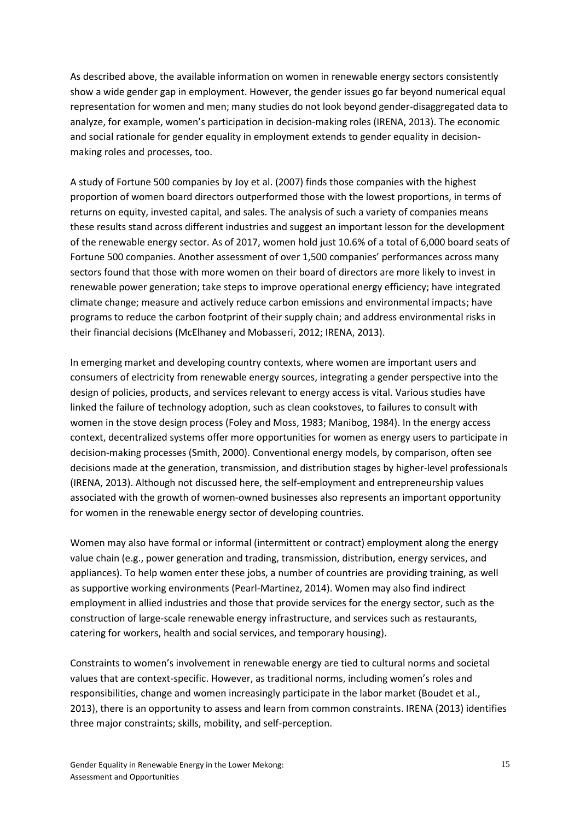As described above, the available information on women in renewable energy sectors consistently show a wide gender gap in employment. However, the gender issues go far beyond numerical equal representation for women and men; many studies do not look beyond gender-disaggregated data to analyze, for example, women's participation in decision-making roles (IRENA, 2013). The economic and social rationale for gender equality in employment extends to gender equality in decisionmaking roles and processes, too.

A study of Fortune 500 companies by Joy et al. (2007) finds those companies with the highest proportion of women board directors outperformed those with the lowest proportions, in terms of returns on equity, invested capital, and sales. The analysis of such a variety of companies means these results stand across different industries and suggest an important lesson for the development of the renewable energy sector. As of 2017, women hold just 10.6% of a total of 6,000 board seats of Fortune 500 companies. Another assessment of over 1,500 companies' performances across many sectors found that those with more women on their board of directors are more likely to invest in renewable power generation; take steps to improve operational energy efficiency; have integrated climate change; measure and actively reduce carbon emissions and environmental impacts; have programs to reduce the carbon footprint of their supply chain; and address environmental risks in their financial decisions (McElhaney and Mobasseri, 2012; IRENA, 2013).

In emerging market and developing country contexts, where women are important users and consumers of electricity from renewable energy sources, integrating a gender perspective into the design of policies, products, and services relevant to energy access is vital. Various studies have linked the failure of technology adoption, such as clean cookstoves, to failures to consult with women in the stove design process (Foley and Moss, 1983; Manibog, 1984). In the energy access context, decentralized systems offer more opportunities for women as energy users to participate in decision-making processes (Smith, 2000). Conventional energy models, by comparison, often see decisions made at the generation, transmission, and distribution stages by higher-level professionals (IRENA, 2013). Although not discussed here, the self-employment and entrepreneurship values associated with the growth of women-owned businesses also represents an important opportunity for women in the renewable energy sector of developing countries.

Women may also have formal or informal (intermittent or contract) employment along the energy value chain (e.g., power generation and trading, transmission, distribution, energy services, and appliances). To help women enter these jobs, a number of countries are providing training, as well as supportive working environments (Pearl-Martinez, 2014). Women may also find indirect employment in allied industries and those that provide services for the energy sector, such as the construction of large-scale renewable energy infrastructure, and services such as restaurants, catering for workers, health and social services, and temporary housing).

Constraints to women's involvement in renewable energy are tied to cultural norms and societal values that are context-specific. However, as traditional norms, including women's roles and responsibilities, change and women increasingly participate in the labor market (Boudet et al., 2013), there is an opportunity to assess and learn from common constraints. IRENA (2013) identifies three major constraints; skills, mobility, and self-perception.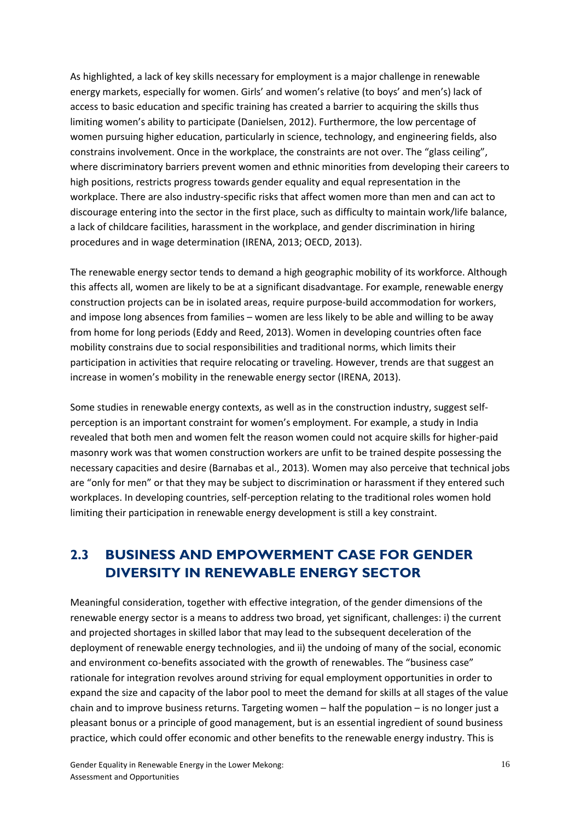As highlighted, a lack of key skills necessary for employment is a major challenge in renewable energy markets, especially for women. Girls' and women's relative (to boys' and men's) lack of access to basic education and specific training has created a barrier to acquiring the skills thus limiting women's ability to participate (Danielsen, 2012). Furthermore, the low percentage of women pursuing higher education, particularly in science, technology, and engineering fields, also constrains involvement. Once in the workplace, the constraints are not over. The "glass ceiling", where discriminatory barriers prevent women and ethnic minorities from developing their careers to high positions, restricts progress towards gender equality and equal representation in the workplace. There are also industry-specific risks that affect women more than men and can act to discourage entering into the sector in the first place, such as difficulty to maintain work/life balance, a lack of childcare facilities, harassment in the workplace, and gender discrimination in hiring procedures and in wage determination (IRENA, 2013; OECD, 2013).

The renewable energy sector tends to demand a high geographic mobility of its workforce. Although this affects all, women are likely to be at a significant disadvantage. For example, renewable energy construction projects can be in isolated areas, require purpose-build accommodation for workers, and impose long absences from families – women are less likely to be able and willing to be away from home for long periods (Eddy and Reed, 2013). Women in developing countries often face mobility constrains due to social responsibilities and traditional norms, which limits their participation in activities that require relocating or traveling. However, trends are that suggest an increase in women's mobility in the renewable energy sector (IRENA, 2013).

Some studies in renewable energy contexts, as well as in the construction industry, suggest selfperception is an important constraint for women's employment. For example, a study in India revealed that both men and women felt the reason women could not acquire skills for higher-paid masonry work was that women construction workers are unfit to be trained despite possessing the necessary capacities and desire (Barnabas et al., 2013). Women may also perceive that technical jobs are "only for men" or that they may be subject to discrimination or harassment if they entered such workplaces. In developing countries, self-perception relating to the traditional roles women hold limiting their participation in renewable energy development is still a key constraint.

### **2.3 BUSINESS AND EMPOWERMENT CASE FOR GENDER DIVERSITY IN RENEWABLE ENERGY SECTOR**

Meaningful consideration, together with effective integration, of the gender dimensions of the renewable energy sector is a means to address two broad, yet significant, challenges: i) the current and projected shortages in skilled labor that may lead to the subsequent deceleration of the deployment of renewable energy technologies, and ii) the undoing of many of the social, economic and environment co-benefits associated with the growth of renewables. The "business case" rationale for integration revolves around striving for equal employment opportunities in order to expand the size and capacity of the labor pool to meet the demand for skills at all stages of the value chain and to improve business returns. Targeting women – half the population – is no longer just a pleasant bonus or a principle of good management, but is an essential ingredient of sound business practice, which could offer economic and other benefits to the renewable energy industry. This is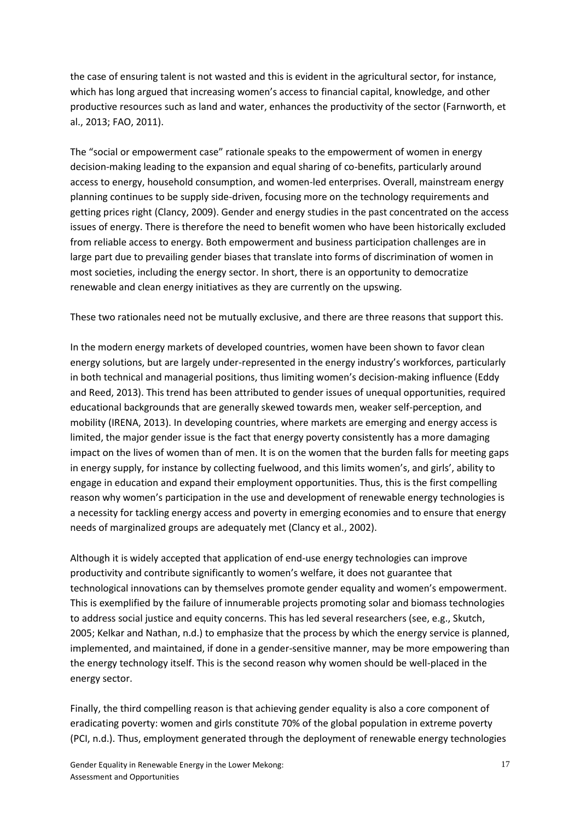the case of ensuring talent is not wasted and this is evident in the agricultural sector, for instance, which has long argued that increasing women's access to financial capital, knowledge, and other productive resources such as land and water, enhances the productivity of the sector (Farnworth, et al., 2013; FAO, 2011).

The "social or empowerment case" rationale speaks to the empowerment of women in energy decision-making leading to the expansion and equal sharing of co-benefits, particularly around access to energy, household consumption, and women-led enterprises. Overall, mainstream energy planning continues to be supply side-driven, focusing more on the technology requirements and getting prices right (Clancy, 2009). Gender and energy studies in the past concentrated on the access issues of energy. There is therefore the need to benefit women who have been historically excluded from reliable access to energy. Both empowerment and business participation challenges are in large part due to prevailing gender biases that translate into forms of discrimination of women in most societies, including the energy sector. In short, there is an opportunity to democratize renewable and clean energy initiatives as they are currently on the upswing.

These two rationales need not be mutually exclusive, and there are three reasons that support this.

In the modern energy markets of developed countries, women have been shown to favor clean energy solutions, but are largely under-represented in the energy industry's workforces, particularly in both technical and managerial positions, thus limiting women's decision-making influence (Eddy and Reed, 2013). This trend has been attributed to gender issues of unequal opportunities, required educational backgrounds that are generally skewed towards men, weaker self-perception, and mobility (IRENA, 2013). In developing countries, where markets are emerging and energy access is limited, the major gender issue is the fact that energy poverty consistently has a more damaging impact on the lives of women than of men. It is on the women that the burden falls for meeting gaps in energy supply, for instance by collecting fuelwood, and this limits women's, and girls', ability to engage in education and expand their employment opportunities. Thus, this is the first compelling reason why women's participation in the use and development of renewable energy technologies is a necessity for tackling energy access and poverty in emerging economies and to ensure that energy needs of marginalized groups are adequately met (Clancy et al., 2002).

Although it is widely accepted that application of end-use energy technologies can improve productivity and contribute significantly to women's welfare, it does not guarantee that technological innovations can by themselves promote gender equality and women's empowerment. This is exemplified by the failure of innumerable projects promoting solar and biomass technologies to address social justice and equity concerns. This has led several researchers (see, e.g., Skutch, 2005; Kelkar and Nathan, n.d.) to emphasize that the process by which the energy service is planned, implemented, and maintained, if done in a gender-sensitive manner, may be more empowering than the energy technology itself. This is the second reason why women should be well-placed in the energy sector.

Finally, the third compelling reason is that achieving gender equality is also a core component of eradicating poverty: women and girls constitute 70% of the global population in extreme poverty (PCI, n.d.). Thus, employment generated through the deployment of renewable energy technologies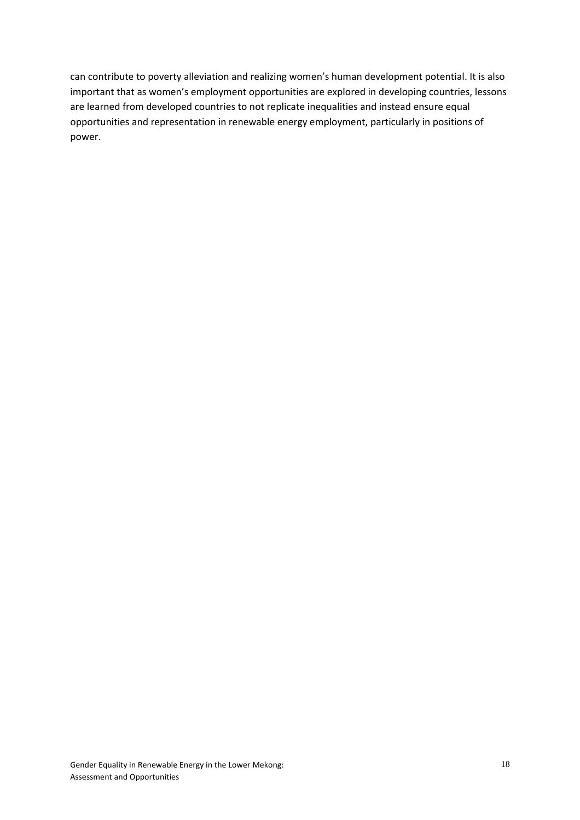can contribute to poverty alleviation and realizing women's human development potential. It is also important that as women's employment opportunities are explored in developing countries, lessons are learned from developed countries to not replicate inequalities and instead ensure equal opportunities and representation in renewable energy employment, particularly in positions of power.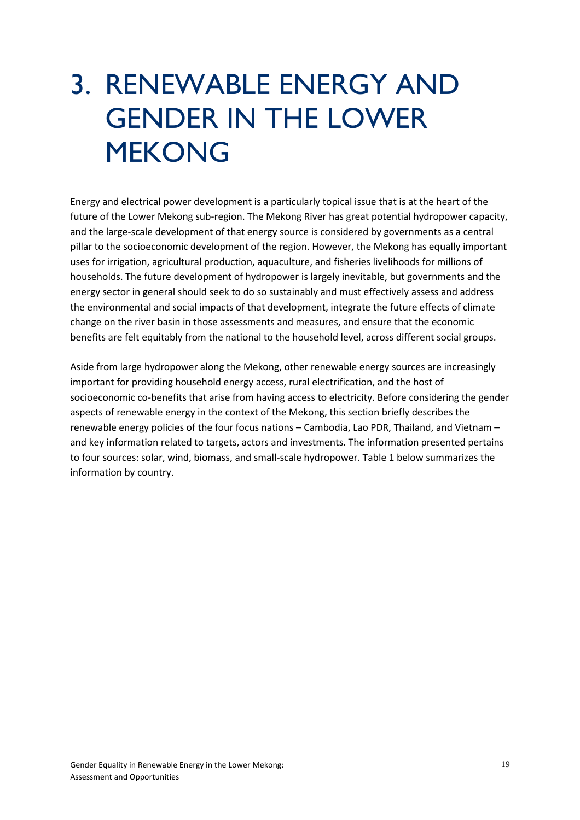## 3. RENEWABLE ENERGY AND GENDER IN THE LOWER MEKONG

Energy and electrical power development is a particularly topical issue that is at the heart of the future of the Lower Mekong sub-region. The Mekong River has great potential hydropower capacity, and the large-scale development of that energy source is considered by governments as a central pillar to the socioeconomic development of the region. However, the Mekong has equally important uses for irrigation, agricultural production, aquaculture, and fisheries livelihoods for millions of households. The future development of hydropower is largely inevitable, but governments and the energy sector in general should seek to do so sustainably and must effectively assess and address the environmental and social impacts of that development, integrate the future effects of climate change on the river basin in those assessments and measures, and ensure that the economic benefits are felt equitably from the national to the household level, across different social groups.

Aside from large hydropower along the Mekong, other renewable energy sources are increasingly important for providing household energy access, rural electrification, and the host of socioeconomic co-benefits that arise from having access to electricity. Before considering the gender aspects of renewable energy in the context of the Mekong, this section briefly describes the renewable energy policies of the four focus nations – Cambodia, Lao PDR, Thailand, and Vietnam – and key information related to targets, actors and investments. The information presented pertains to four sources: solar, wind, biomass, and small-scale hydropower. Table 1 below summarizes the information by country.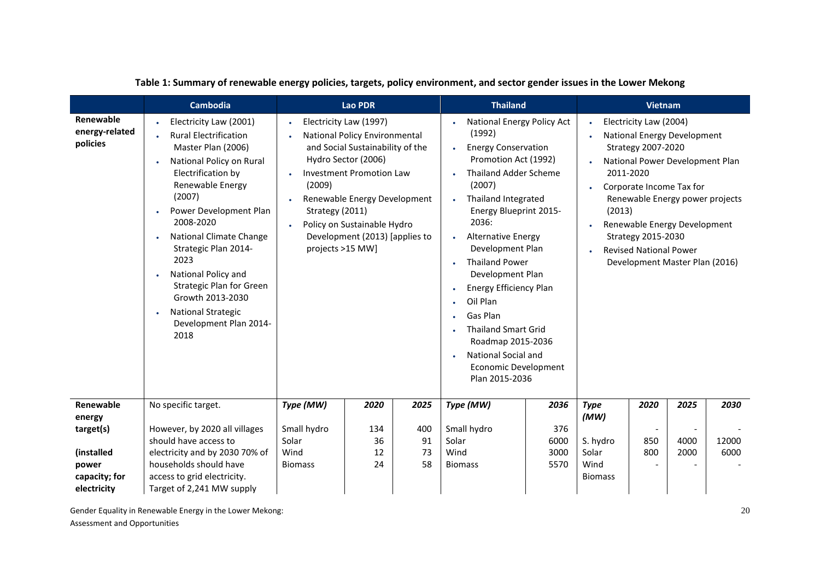|                                         | Cambodia                                                                                                                                                                                                                                                                                                                                                                                                                 |                                                                                                                                                                                                                                                                                                                                          | <b>Lao PDR</b> |                                                                                                                                                                                                                                                                                                                                                                                                                                                                                                                                                        | <b>Thailand</b>                 |                                  |                                                                                                                                                                                                                                                                                                                     | <b>Vietnam</b> |              |               |
|-----------------------------------------|--------------------------------------------------------------------------------------------------------------------------------------------------------------------------------------------------------------------------------------------------------------------------------------------------------------------------------------------------------------------------------------------------------------------------|------------------------------------------------------------------------------------------------------------------------------------------------------------------------------------------------------------------------------------------------------------------------------------------------------------------------------------------|----------------|--------------------------------------------------------------------------------------------------------------------------------------------------------------------------------------------------------------------------------------------------------------------------------------------------------------------------------------------------------------------------------------------------------------------------------------------------------------------------------------------------------------------------------------------------------|---------------------------------|----------------------------------|---------------------------------------------------------------------------------------------------------------------------------------------------------------------------------------------------------------------------------------------------------------------------------------------------------------------|----------------|--------------|---------------|
| Renewable<br>energy-related<br>policies | Electricity Law (2001)<br><b>Rural Electrification</b><br>Master Plan (2006)<br>National Policy on Rural<br>Electrification by<br>Renewable Energy<br>(2007)<br>Power Development Plan<br>2008-2020<br>National Climate Change<br>Strategic Plan 2014-<br>2023<br>National Policy and<br>$\bullet$<br><b>Strategic Plan for Green</b><br>Growth 2013-2030<br><b>National Strategic</b><br>Development Plan 2014-<br>2018 | Electricity Law (1997)<br>$\bullet$<br><b>National Policy Environmental</b><br>and Social Sustainability of the<br>Hydro Sector (2006)<br><b>Investment Promotion Law</b><br>(2009)<br>Renewable Energy Development<br>Strategy (2011)<br>Policy on Sustainable Hydro<br>$\bullet$<br>Development (2013) [applies to<br>projects >15 MW] |                | National Energy Policy Act<br>$\bullet$<br>(1992)<br><b>Energy Conservation</b><br>$\bullet$<br>Promotion Act (1992)<br><b>Thailand Adder Scheme</b><br>(2007)<br>Thailand Integrated<br><b>Energy Blueprint 2015-</b><br>2036:<br><b>Alternative Energy</b><br>$\bullet$<br>Development Plan<br><b>Thailand Power</b><br>$\bullet$<br>Development Plan<br>Energy Efficiency Plan<br>$\bullet$<br>Oil Plan<br>Gas Plan<br>٠<br><b>Thailand Smart Grid</b><br>Roadmap 2015-2036<br><b>National Social and</b><br>Economic Development<br>Plan 2015-2036 |                                 | $\bullet$<br>(2013)<br>$\bullet$ | Electricity Law (2004)<br>National Energy Development<br>Strategy 2007-2020<br>National Power Development Plan<br>2011-2020<br>Corporate Income Tax for<br>Renewable Energy power projects<br>Renewable Energy Development<br>Strategy 2015-2030<br><b>Revised National Power</b><br>Development Master Plan (2016) |                |              |               |
| Renewable                               | No specific target.                                                                                                                                                                                                                                                                                                                                                                                                      | Type (MW)                                                                                                                                                                                                                                                                                                                                | 2020           | 2025                                                                                                                                                                                                                                                                                                                                                                                                                                                                                                                                                   | Type (MW)                       | 2036                             | <b>Type</b>                                                                                                                                                                                                                                                                                                         | 2020           | 2025         | 2030          |
| energy<br>target(s)                     | However, by 2020 all villages                                                                                                                                                                                                                                                                                                                                                                                            | Small hydro                                                                                                                                                                                                                                                                                                                              | 134            | 400                                                                                                                                                                                                                                                                                                                                                                                                                                                                                                                                                    | Small hydro                     | 376                              | (MW)                                                                                                                                                                                                                                                                                                                |                |              |               |
| (installed<br>power<br>capacity; for    | should have access to<br>electricity and by 2030 70% of<br>households should have<br>access to grid electricity.                                                                                                                                                                                                                                                                                                         | Solar<br>Wind<br><b>Biomass</b>                                                                                                                                                                                                                                                                                                          | 36<br>12<br>24 | 91<br>73<br>58                                                                                                                                                                                                                                                                                                                                                                                                                                                                                                                                         | Solar<br>Wind<br><b>Biomass</b> | 6000<br>3000<br>5570             | S. hydro<br>Solar<br>Wind<br><b>Biomass</b>                                                                                                                                                                                                                                                                         | 850<br>800     | 4000<br>2000 | 12000<br>6000 |
| electricity                             | Target of 2,241 MW supply                                                                                                                                                                                                                                                                                                                                                                                                |                                                                                                                                                                                                                                                                                                                                          |                |                                                                                                                                                                                                                                                                                                                                                                                                                                                                                                                                                        |                                 |                                  |                                                                                                                                                                                                                                                                                                                     |                |              |               |

#### **Table 1: Summary of renewable energy policies, targets, policy environment, and sector gender issues in the Lower Mekong**

Gender Equality in Renewable Energy in the Lower Mekong: Assessment and Opportunities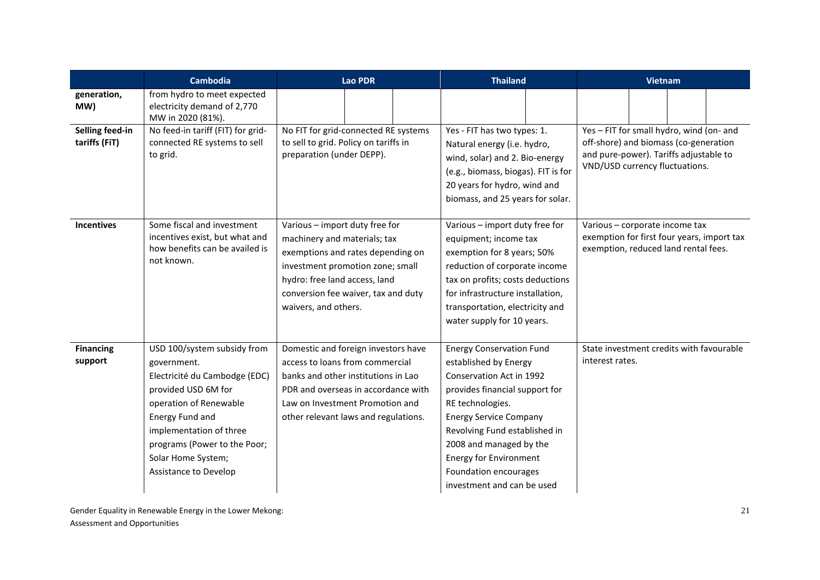|                                  | <b>Cambodia</b>                                                                                                                                                                                                                                           | <b>Lao PDR</b>                                                                                                                                                                                                                          | <b>Thailand</b>                                                                                                                                                                                                                                                                                                                 | <b>Vietnam</b>                                                                                                                                                |  |  |
|----------------------------------|-----------------------------------------------------------------------------------------------------------------------------------------------------------------------------------------------------------------------------------------------------------|-----------------------------------------------------------------------------------------------------------------------------------------------------------------------------------------------------------------------------------------|---------------------------------------------------------------------------------------------------------------------------------------------------------------------------------------------------------------------------------------------------------------------------------------------------------------------------------|---------------------------------------------------------------------------------------------------------------------------------------------------------------|--|--|
| generation,<br>MW)               | from hydro to meet expected<br>electricity demand of 2,770<br>MW in 2020 (81%).                                                                                                                                                                           |                                                                                                                                                                                                                                         |                                                                                                                                                                                                                                                                                                                                 |                                                                                                                                                               |  |  |
| Selling feed-in<br>tariffs (FiT) | No feed-in tariff (FIT) for grid-<br>connected RE systems to sell<br>to grid.                                                                                                                                                                             | No FIT for grid-connected RE systems<br>to sell to grid. Policy on tariffs in<br>preparation (under DEPP).                                                                                                                              | Yes - FIT has two types: 1.<br>Natural energy (i.e. hydro,<br>wind, solar) and 2. Bio-energy<br>(e.g., biomass, biogas). FIT is for<br>20 years for hydro, wind and<br>biomass, and 25 years for solar.                                                                                                                         | Yes - FIT for small hydro, wind (on- and<br>off-shore) and biomass (co-generation<br>and pure-power). Tariffs adjustable to<br>VND/USD currency fluctuations. |  |  |
| <b>Incentives</b>                | Some fiscal and investment<br>incentives exist, but what and<br>how benefits can be availed is<br>not known.                                                                                                                                              | Various - import duty free for<br>machinery and materials; tax<br>exemptions and rates depending on<br>investment promotion zone; small<br>hydro: free land access, land<br>conversion fee waiver, tax and duty<br>waivers, and others. | Various - import duty free for<br>equipment; income tax<br>exemption for 8 years; 50%<br>reduction of corporate income<br>tax on profits; costs deductions<br>for infrastructure installation,<br>transportation, electricity and<br>water supply for 10 years.                                                                 | Various - corporate income tax<br>exemption for first four years, import tax<br>exemption, reduced land rental fees.                                          |  |  |
| <b>Financing</b><br>support      | USD 100/system subsidy from<br>government.<br>Electricité du Cambodge (EDC)<br>provided USD 6M for<br>operation of Renewable<br>Energy Fund and<br>implementation of three<br>programs (Power to the Poor;<br>Solar Home System;<br>Assistance to Develop | Domestic and foreign investors have<br>access to loans from commercial<br>banks and other institutions in Lao<br>PDR and overseas in accordance with<br>Law on Investment Promotion and<br>other relevant laws and regulations.         | <b>Energy Conservation Fund</b><br>established by Energy<br>Conservation Act in 1992<br>provides financial support for<br>RE technologies.<br><b>Energy Service Company</b><br>Revolving Fund established in<br>2008 and managed by the<br><b>Energy for Environment</b><br>Foundation encourages<br>investment and can be used | State investment credits with favourable<br>interest rates.                                                                                                   |  |  |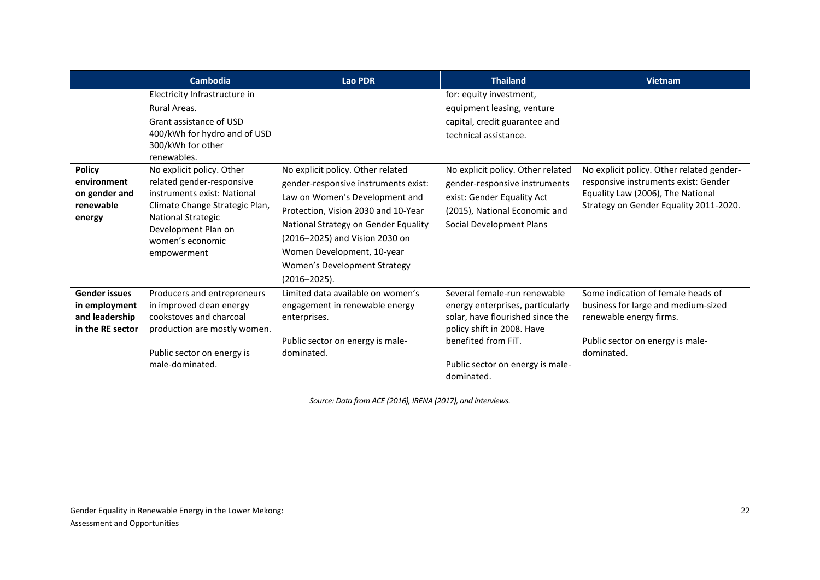|                                                                             | <b>Cambodia</b>                                                                                                                                                                                                                                                                                                                                                | Lao PDR                                                                                                                                                                                                                                                                                                         | <b>Thailand</b>                                                                                                                                                                                                                                                                  | <b>Vietnam</b>                                                                                                                                                   |
|-----------------------------------------------------------------------------|----------------------------------------------------------------------------------------------------------------------------------------------------------------------------------------------------------------------------------------------------------------------------------------------------------------------------------------------------------------|-----------------------------------------------------------------------------------------------------------------------------------------------------------------------------------------------------------------------------------------------------------------------------------------------------------------|----------------------------------------------------------------------------------------------------------------------------------------------------------------------------------------------------------------------------------------------------------------------------------|------------------------------------------------------------------------------------------------------------------------------------------------------------------|
| <b>Policy</b><br>environment<br>on gender and<br>renewable<br>energy        | Electricity Infrastructure in<br>Rural Areas.<br>Grant assistance of USD<br>400/kWh for hydro and of USD<br>300/kWh for other<br>renewables.<br>No explicit policy. Other<br>related gender-responsive<br>instruments exist: National<br>Climate Change Strategic Plan,<br><b>National Strategic</b><br>Development Plan on<br>women's economic<br>empowerment | No explicit policy. Other related<br>gender-responsive instruments exist:<br>Law on Women's Development and<br>Protection, Vision 2030 and 10-Year<br>National Strategy on Gender Equality<br>(2016–2025) and Vision 2030 on<br>Women Development, 10-year<br>Women's Development Strategy<br>$(2016 - 2025)$ . | for: equity investment,<br>equipment leasing, venture<br>capital, credit guarantee and<br>technical assistance.<br>No explicit policy. Other related<br>gender-responsive instruments<br>exist: Gender Equality Act<br>(2015), National Economic and<br>Social Development Plans | No explicit policy. Other related gender-<br>responsive instruments exist: Gender<br>Equality Law (2006), The National<br>Strategy on Gender Equality 2011-2020. |
| <b>Gender issues</b><br>in employment<br>and leadership<br>in the RE sector | Producers and entrepreneurs<br>in improved clean energy<br>cookstoves and charcoal<br>production are mostly women.<br>Public sector on energy is<br>male-dominated.                                                                                                                                                                                            | Limited data available on women's<br>engagement in renewable energy<br>enterprises.<br>Public sector on energy is male-<br>dominated.                                                                                                                                                                           | Several female-run renewable<br>energy enterprises, particularly<br>solar, have flourished since the<br>policy shift in 2008. Have<br>benefited from FiT.<br>Public sector on energy is male-<br>dominated.                                                                      | Some indication of female heads of<br>business for large and medium-sized<br>renewable energy firms.<br>Public sector on energy is male-<br>dominated.           |

*Source: Data from ACE (2016), IRENA (2017), and interviews.*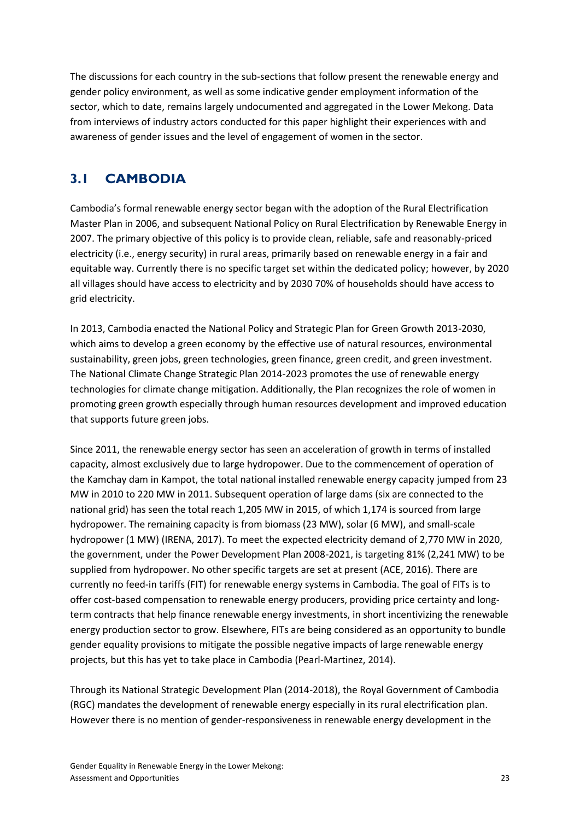The discussions for each country in the sub-sections that follow present the renewable energy and gender policy environment, as well as some indicative gender employment information of the sector, which to date, remains largely undocumented and aggregated in the Lower Mekong. Data from interviews of industry actors conducted for this paper highlight their experiences with and awareness of gender issues and the level of engagement of women in the sector.

### **3.1 CAMBODIA**

Cambodia's formal renewable energy sector began with the adoption of the Rural Electrification Master Plan in 2006, and subsequent National Policy on Rural Electrification by Renewable Energy in 2007. The primary objective of this policy is to provide clean, reliable, safe and reasonably-priced electricity (i.e., energy security) in rural areas, primarily based on renewable energy in a fair and equitable way. Currently there is no specific target set within the dedicated policy; however, by 2020 all villages should have access to electricity and by 2030 70% of households should have access to grid electricity.

In 2013, Cambodia enacted the National Policy and Strategic Plan for Green Growth 2013-2030, which aims to develop a green economy by the effective use of natural resources, environmental sustainability, green jobs, green technologies, green finance, green credit, and green investment. The National Climate Change Strategic Plan 2014-2023 promotes the use of renewable energy technologies for climate change mitigation. Additionally, the Plan recognizes the role of women in promoting green growth especially through human resources development and improved education that supports future green jobs.

Since 2011, the renewable energy sector has seen an acceleration of growth in terms of installed capacity, almost exclusively due to large hydropower. Due to the commencement of operation of the Kamchay dam in Kampot, the total national installed renewable energy capacity jumped from 23 MW in 2010 to 220 MW in 2011. Subsequent operation of large dams (six are connected to the national grid) has seen the total reach 1,205 MW in 2015, of which 1,174 is sourced from large hydropower. The remaining capacity is from biomass (23 MW), solar (6 MW), and small-scale hydropower (1 MW) (IRENA, 2017). To meet the expected electricity demand of 2,770 MW in 2020, the government, under the Power Development Plan 2008-2021, is targeting 81% (2,241 MW) to be supplied from hydropower. No other specific targets are set at present (ACE, 2016). There are currently no feed-in tariffs (FIT) for renewable energy systems in Cambodia. The goal of FITs is to offer cost-based compensation to renewable energy producers, providing price certainty and longterm contracts that help finance renewable energy investments, in short incentivizing the renewable energy production sector to grow. Elsewhere, FITs are being considered as an opportunity to bundle gender equality provisions to mitigate the possible negative impacts of large renewable energy projects, but this has yet to take place in Cambodia (Pearl-Martinez, 2014).

Through its National Strategic Development Plan (2014-2018), the Royal Government of Cambodia (RGC) mandates the development of renewable energy especially in its rural electrification plan. However there is no mention of gender-responsiveness in renewable energy development in the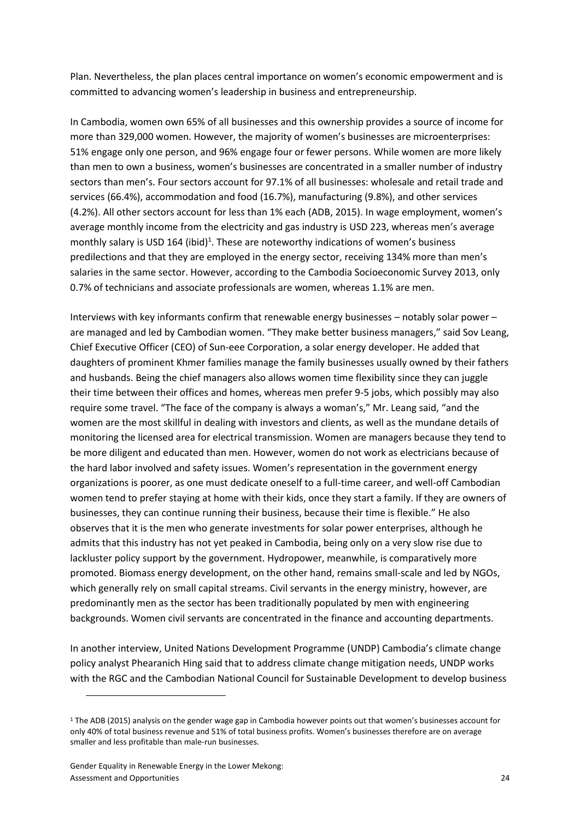Plan. Nevertheless, the plan places central importance on women's economic empowerment and is committed to advancing women's leadership in business and entrepreneurship.

In Cambodia, women own 65% of all businesses and this ownership provides a source of income for more than 329,000 women. However, the majority of women's businesses are microenterprises: 51% engage only one person, and 96% engage four or fewer persons. While women are more likely than men to own a business, women's businesses are concentrated in a smaller number of industry sectors than men's. Four sectors account for 97.1% of all businesses: wholesale and retail trade and services (66.4%), accommodation and food (16.7%), manufacturing (9.8%), and other services (4.2%). All other sectors account for less than 1% each (ADB, 2015). In wage employment, women's average monthly income from the electricity and gas industry is USD 223, whereas men's average monthly salary is USD 164 (ibid)<sup>1</sup>. These are noteworthy indications of women's business predilections and that they are employed in the energy sector, receiving 134% more than men's salaries in the same sector. However, according to the Cambodia Socioeconomic Survey 2013, only 0.7% of technicians and associate professionals are women, whereas 1.1% are men.

Interviews with key informants confirm that renewable energy businesses – notably solar power – are managed and led by Cambodian women. "They make better business managers," said Sov Leang, Chief Executive Officer (CEO) of Sun-eee Corporation, a solar energy developer. He added that daughters of prominent Khmer families manage the family businesses usually owned by their fathers and husbands. Being the chief managers also allows women time flexibility since they can juggle their time between their offices and homes, whereas men prefer 9-5 jobs, which possibly may also require some travel. "The face of the company is always a woman's," Mr. Leang said, "and the women are the most skillful in dealing with investors and clients, as well as the mundane details of monitoring the licensed area for electrical transmission. Women are managers because they tend to be more diligent and educated than men. However, women do not work as electricians because of the hard labor involved and safety issues. Women's representation in the government energy organizations is poorer, as one must dedicate oneself to a full-time career, and well-off Cambodian women tend to prefer staying at home with their kids, once they start a family. If they are owners of businesses, they can continue running their business, because their time is flexible." He also observes that it is the men who generate investments for solar power enterprises, although he admits that this industry has not yet peaked in Cambodia, being only on a very slow rise due to lackluster policy support by the government. Hydropower, meanwhile, is comparatively more promoted. Biomass energy development, on the other hand, remains small-scale and led by NGOs, which generally rely on small capital streams. Civil servants in the energy ministry, however, are predominantly men as the sector has been traditionally populated by men with engineering backgrounds. Women civil servants are concentrated in the finance and accounting departments.

In another interview, United Nations Development Programme (UNDP) Cambodia's climate change policy analyst Phearanich Hing said that to address climate change mitigation needs, UNDP works with the RGC and the Cambodian National Council for Sustainable Development to develop business

<sup>&</sup>lt;sup>1</sup> The ADB (2015) analysis on the gender wage gap in Cambodia however points out that women's businesses account for only 40% of total business revenue and 51% of total business profits. Women's businesses therefore are on average smaller and less profitable than male-run businesses.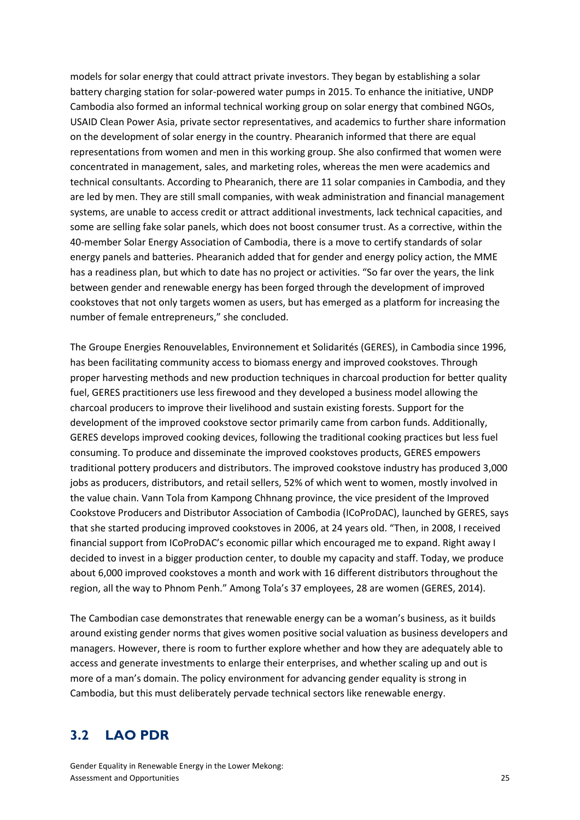models for solar energy that could attract private investors. They began by establishing a solar battery charging station for solar-powered water pumps in 2015. To enhance the initiative, UNDP Cambodia also formed an informal technical working group on solar energy that combined NGOs, USAID Clean Power Asia, private sector representatives, and academics to further share information on the development of solar energy in the country. Phearanich informed that there are equal representations from women and men in this working group. She also confirmed that women were concentrated in management, sales, and marketing roles, whereas the men were academics and technical consultants. According to Phearanich, there are 11 solar companies in Cambodia, and they are led by men. They are still small companies, with weak administration and financial management systems, are unable to access credit or attract additional investments, lack technical capacities, and some are selling fake solar panels, which does not boost consumer trust. As a corrective, within the 40-member Solar Energy Association of Cambodia, there is a move to certify standards of solar energy panels and batteries. Phearanich added that for gender and energy policy action, the MME has a readiness plan, but which to date has no project or activities. "So far over the years, the link between gender and renewable energy has been forged through the development of improved cookstoves that not only targets women as users, but has emerged as a platform for increasing the number of female entrepreneurs," she concluded.

The Groupe Energies Renouvelables, Environnement et Solidarités (GERES), in Cambodia since 1996, has been facilitating community access to biomass energy and improved cookstoves. Through proper harvesting methods and new production techniques in charcoal production for better quality fuel, GERES practitioners use less firewood and they developed a business model allowing the charcoal producers to improve their livelihood and sustain existing forests. Support for the development of the improved cookstove sector primarily came from carbon funds. Additionally, GERES develops improved cooking devices, following the traditional cooking practices but less fuel consuming. To produce and disseminate the improved cookstoves products, GERES empowers traditional pottery producers and distributors. The improved cookstove industry has produced 3,000 jobs as producers, distributors, and retail sellers, 52% of which went to women, mostly involved in the value chain. Vann Tola from Kampong Chhnang province, the vice president of the Improved Cookstove Producers and Distributor Association of Cambodia (ICoProDAC), launched by GERES, says that she started producing improved cookstoves in 2006, at 24 years old. "Then, in 2008, I received financial support from ICoProDAC's economic pillar which encouraged me to expand. Right away I decided to invest in a bigger production center, to double my capacity and staff. Today, we produce about 6,000 improved cookstoves a month and work with 16 different distributors throughout the region, all the way to Phnom Penh." Among Tola's 37 employees, 28 are women (GERES, 2014).

The Cambodian case demonstrates that renewable energy can be a woman's business, as it builds around existing gender norms that gives women positive social valuation as business developers and managers. However, there is room to further explore whether and how they are adequately able to access and generate investments to enlarge their enterprises, and whether scaling up and out is more of a man's domain. The policy environment for advancing gender equality is strong in Cambodia, but this must deliberately pervade technical sectors like renewable energy.

### **3.2 LAO PDR**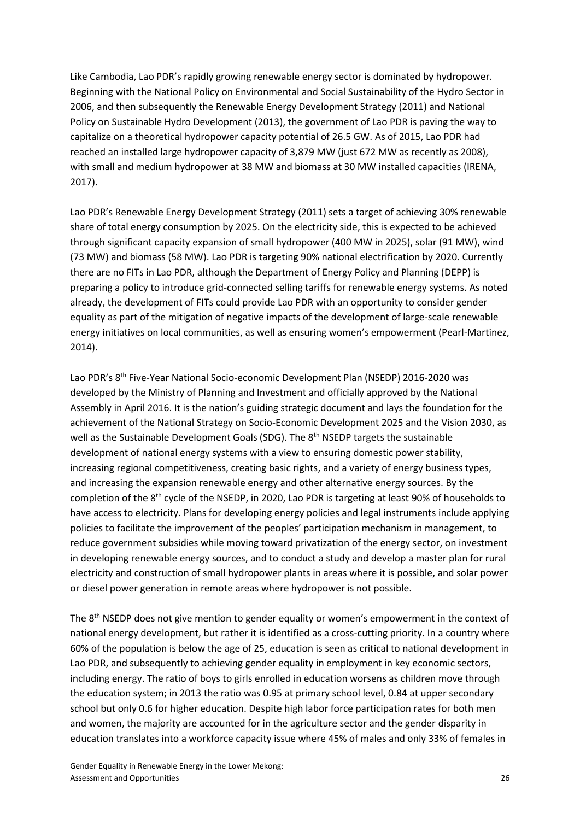Like Cambodia, Lao PDR's rapidly growing renewable energy sector is dominated by hydropower. Beginning with the National Policy on Environmental and Social Sustainability of the Hydro Sector in 2006, and then subsequently the Renewable Energy Development Strategy (2011) and National Policy on Sustainable Hydro Development (2013), the government of Lao PDR is paving the way to capitalize on a theoretical hydropower capacity potential of 26.5 GW. As of 2015, Lao PDR had reached an installed large hydropower capacity of 3,879 MW (just 672 MW as recently as 2008), with small and medium hydropower at 38 MW and biomass at 30 MW installed capacities (IRENA, 2017).

Lao PDR's Renewable Energy Development Strategy (2011) sets a target of achieving 30% renewable share of total energy consumption by 2025. On the electricity side, this is expected to be achieved through significant capacity expansion of small hydropower (400 MW in 2025), solar (91 MW), wind (73 MW) and biomass (58 MW). Lao PDR is targeting 90% national electrification by 2020. Currently there are no FITs in Lao PDR, although the Department of Energy Policy and Planning (DEPP) is preparing a policy to introduce grid-connected selling tariffs for renewable energy systems. As noted already, the development of FITs could provide Lao PDR with an opportunity to consider gender equality as part of the mitigation of negative impacts of the development of large-scale renewable energy initiatives on local communities, as well as ensuring women's empowerment (Pearl-Martinez, 2014).

Lao PDR's 8<sup>th</sup> Five-Year National Socio-economic Development Plan (NSEDP) 2016-2020 was developed by the Ministry of Planning and Investment and officially approved by the National Assembly in April 2016. It is the nation's guiding strategic document and lays the foundation for the achievement of the National Strategy on Socio-Economic Development 2025 and the Vision 2030, as well as the Sustainable Development Goals (SDG). The 8<sup>th</sup> NSEDP targets the sustainable development of national energy systems with a view to ensuring domestic power stability, increasing regional competitiveness, creating basic rights, and a variety of energy business types, and increasing the expansion renewable energy and other alternative energy sources. By the completion of the 8<sup>th</sup> cycle of the NSEDP, in 2020, Lao PDR is targeting at least 90% of households to have access to electricity. Plans for developing energy policies and legal instruments include applying policies to facilitate the improvement of the peoples' participation mechanism in management, to reduce government subsidies while moving toward privatization of the energy sector, on investment in developing renewable energy sources, and to conduct a study and develop a master plan for rural electricity and construction of small hydropower plants in areas where it is possible, and solar power or diesel power generation in remote areas where hydropower is not possible.

The 8<sup>th</sup> NSEDP does not give mention to gender equality or women's empowerment in the context of national energy development, but rather it is identified as a cross-cutting priority. In a country where 60% of the population is below the age of 25, education is seen as critical to national development in Lao PDR, and subsequently to achieving gender equality in employment in key economic sectors, including energy. The ratio of boys to girls enrolled in education worsens as children move through the education system; in 2013 the ratio was 0.95 at primary school level, 0.84 at upper secondary school but only 0.6 for higher education. Despite high labor force participation rates for both men and women, the majority are accounted for in the agriculture sector and the gender disparity in education translates into a workforce capacity issue where 45% of males and only 33% of females in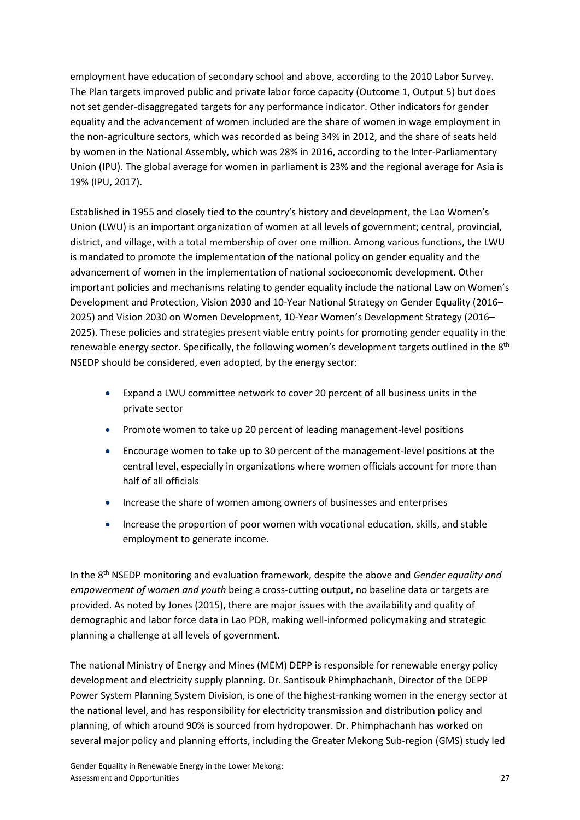employment have education of secondary school and above, according to the 2010 Labor Survey. The Plan targets improved public and private labor force capacity (Outcome 1, Output 5) but does not set gender-disaggregated targets for any performance indicator. Other indicators for gender equality and the advancement of women included are the share of women in wage employment in the non-agriculture sectors, which was recorded as being 34% in 2012, and the share of seats held by women in the National Assembly, which was 28% in 2016, according to the Inter-Parliamentary Union (IPU). The global average for women in parliament is 23% and the regional average for Asia is 19% (IPU, 2017).

Established in 1955 and closely tied to the country's history and development, the Lao Women's Union (LWU) is an important organization of women at all levels of government; central, provincial, district, and village, with a total membership of over one million. Among various functions, the LWU is mandated to promote the implementation of the national policy on gender equality and the advancement of women in the implementation of national socioeconomic development. Other important policies and mechanisms relating to gender equality include the national Law on Women's Development and Protection, Vision 2030 and 10-Year National Strategy on Gender Equality (2016– 2025) and Vision 2030 on Women Development, 10-Year Women's Development Strategy (2016– 2025). These policies and strategies present viable entry points for promoting gender equality in the renewable energy sector. Specifically, the following women's development targets outlined in the 8<sup>th</sup> NSEDP should be considered, even adopted, by the energy sector:

- Expand a LWU committee network to cover 20 percent of all business units in the private sector
- Promote women to take up 20 percent of leading management-level positions
- Encourage women to take up to 30 percent of the management-level positions at the central level, especially in organizations where women officials account for more than half of all officials
- Increase the share of women among owners of businesses and enterprises
- Increase the proportion of poor women with vocational education, skills, and stable employment to generate income.

In the 8th NSEDP monitoring and evaluation framework, despite the above and *Gender equality and empowerment of women and youth* being a cross-cutting output, no baseline data or targets are provided. As noted by Jones (2015), there are major issues with the availability and quality of demographic and labor force data in Lao PDR, making well-informed policymaking and strategic planning a challenge at all levels of government.

The national Ministry of Energy and Mines (MEM) DEPP is responsible for renewable energy policy development and electricity supply planning. Dr. Santisouk Phimphachanh, Director of the DEPP Power System Planning System Division, is one of the highest-ranking women in the energy sector at the national level, and has responsibility for electricity transmission and distribution policy and planning, of which around 90% is sourced from hydropower. Dr. Phimphachanh has worked on several major policy and planning efforts, including the Greater Mekong Sub-region (GMS) study led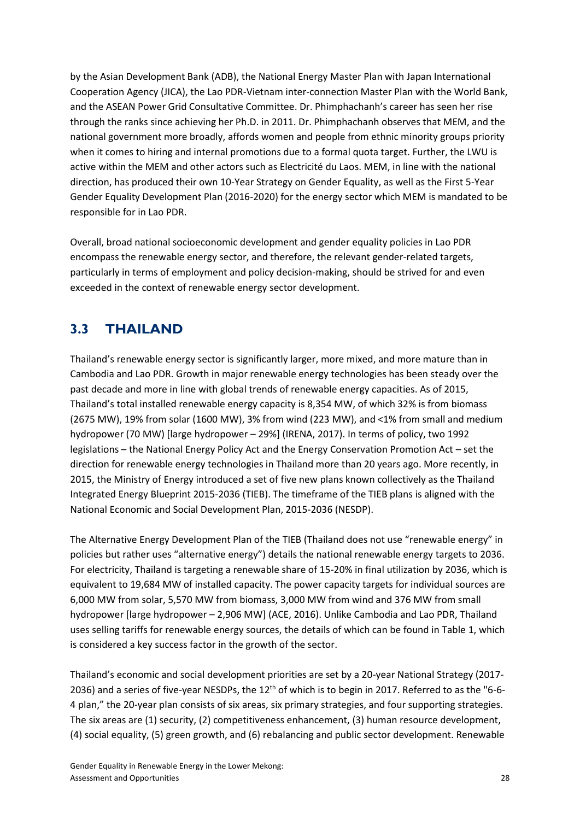by the Asian Development Bank (ADB), the National Energy Master Plan with Japan International Cooperation Agency (JICA), the Lao PDR-Vietnam inter-connection Master Plan with the World Bank, and the ASEAN Power Grid Consultative Committee. Dr. Phimphachanh's career has seen her rise through the ranks since achieving her Ph.D. in 2011. Dr. Phimphachanh observes that MEM, and the national government more broadly, affords women and people from ethnic minority groups priority when it comes to hiring and internal promotions due to a formal quota target. Further, the LWU is active within the MEM and other actors such as Electricité du Laos. MEM, in line with the national direction, has produced their own 10-Year Strategy on Gender Equality, as well as the First 5-Year Gender Equality Development Plan (2016-2020) for the energy sector which MEM is mandated to be responsible for in Lao PDR.

Overall, broad national socioeconomic development and gender equality policies in Lao PDR encompass the renewable energy sector, and therefore, the relevant gender-related targets, particularly in terms of employment and policy decision-making, should be strived for and even exceeded in the context of renewable energy sector development.

## **3.3 THAILAND**

Thailand's renewable energy sector is significantly larger, more mixed, and more mature than in Cambodia and Lao PDR. Growth in major renewable energy technologies has been steady over the past decade and more in line with global trends of renewable energy capacities. As of 2015, Thailand's total installed renewable energy capacity is 8,354 MW, of which 32% is from biomass (2675 MW), 19% from solar (1600 MW), 3% from wind (223 MW), and <1% from small and medium hydropower (70 MW) [large hydropower – 29%] (IRENA, 2017). In terms of policy, two 1992 legislations – the National Energy Policy Act and the Energy Conservation Promotion Act – set the direction for renewable energy technologies in Thailand more than 20 years ago. More recently, in 2015, the Ministry of Energy introduced a set of five new plans known collectively as the Thailand Integrated Energy Blueprint 2015-2036 (TIEB). The timeframe of the TIEB plans is aligned with the National Economic and Social Development Plan, 2015-2036 (NESDP).

The Alternative Energy Development Plan of the TIEB (Thailand does not use "renewable energy" in policies but rather uses "alternative energy") details the national renewable energy targets to 2036. For electricity, Thailand is targeting a renewable share of 15-20% in final utilization by 2036, which is equivalent to 19,684 MW of installed capacity. The power capacity targets for individual sources are 6,000 MW from solar, 5,570 MW from biomass, 3,000 MW from wind and 376 MW from small hydropower [large hydropower – 2,906 MW] (ACE, 2016). Unlike Cambodia and Lao PDR, Thailand uses selling tariffs for renewable energy sources, the details of which can be found in Table 1, which is considered a key success factor in the growth of the sector.

Thailand's economic and social development priorities are set by a 20-year National Strategy (2017- 2036) and a series of five-year NESDPs, the 12<sup>th</sup> of which is to begin in 2017. Referred to as the "6-6-4 plan," the 20-year plan consists of six areas, six primary strategies, and four supporting strategies. The six areas are (1) security, (2) competitiveness enhancement, (3) human resource development, (4) social equality, (5) green growth, and (6) rebalancing and public sector development. Renewable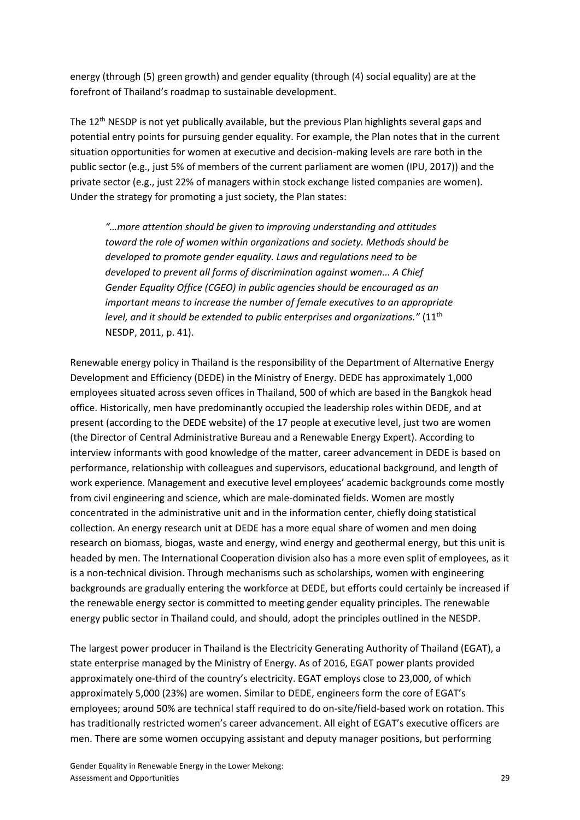energy (through (5) green growth) and gender equality (through (4) social equality) are at the forefront of Thailand's roadmap to sustainable development.

The 12<sup>th</sup> NESDP is not yet publically available, but the previous Plan highlights several gaps and potential entry points for pursuing gender equality. For example, the Plan notes that in the current situation opportunities for women at executive and decision-making levels are rare both in the public sector (e.g., just 5% of members of the current parliament are women (IPU, 2017)) and the private sector (e.g., just 22% of managers within stock exchange listed companies are women). Under the strategy for promoting a just society, the Plan states:

*"…more attention should be given to improving understanding and attitudes toward the role of women within organizations and society. Methods should be developed to promote gender equality. Laws and regulations need to be developed to prevent all forms of discrimination against women... A Chief Gender Equality Office (CGEO) in public agencies should be encouraged as an important means to increase the number of female executives to an appropriate level, and it should be extended to public enterprises and organizations."* (11<sup>th</sup> NESDP, 2011, p. 41).

Renewable energy policy in Thailand is the responsibility of the Department of Alternative Energy Development and Efficiency (DEDE) in the Ministry of Energy. DEDE has approximately 1,000 employees situated across seven offices in Thailand, 500 of which are based in the Bangkok head office. Historically, men have predominantly occupied the leadership roles within DEDE, and at present (according to the DEDE website) of the 17 people at executive level, just two are women (the Director of Central Administrative Bureau and a Renewable Energy Expert). According to interview informants with good knowledge of the matter, career advancement in DEDE is based on performance, relationship with colleagues and supervisors, educational background, and length of work experience. Management and executive level employees' academic backgrounds come mostly from civil engineering and science, which are male-dominated fields. Women are mostly concentrated in the administrative unit and in the information center, chiefly doing statistical collection. An energy research unit at DEDE has a more equal share of women and men doing research on biomass, biogas, waste and energy, wind energy and geothermal energy, but this unit is headed by men. The International Cooperation division also has a more even split of employees, as it is a non-technical division. Through mechanisms such as scholarships, women with engineering backgrounds are gradually entering the workforce at DEDE, but efforts could certainly be increased if the renewable energy sector is committed to meeting gender equality principles. The renewable energy public sector in Thailand could, and should, adopt the principles outlined in the NESDP.

The largest power producer in Thailand is the Electricity Generating Authority of Thailand (EGAT), a state enterprise managed by the Ministry of Energy. As of 2016, EGAT power plants provided approximately one-third of the country's electricity. EGAT employs close to 23,000, of which approximately 5,000 (23%) are women. Similar to DEDE, engineers form the core of EGAT's employees; around 50% are technical staff required to do on-site/field-based work on rotation. This has traditionally restricted women's career advancement. All eight of EGAT's executive officers are men. There are some women occupying assistant and deputy manager positions, but performing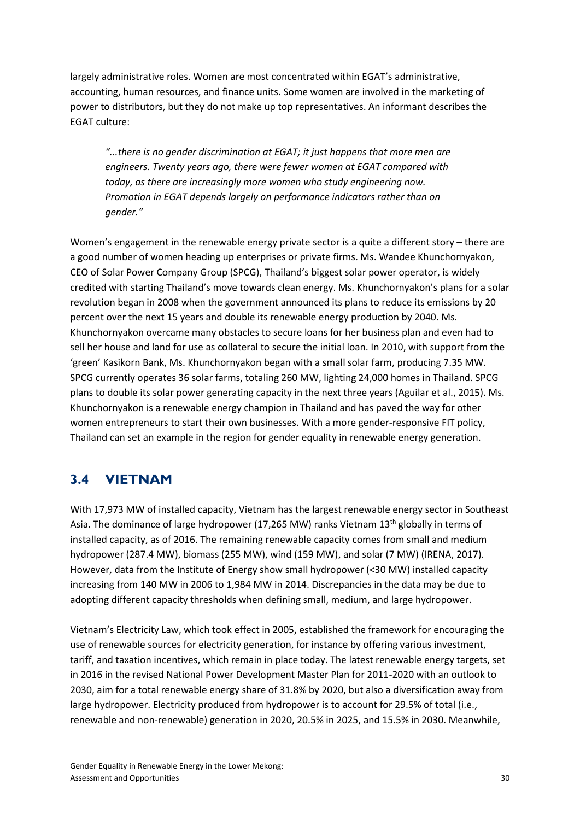largely administrative roles. Women are most concentrated within EGAT's administrative, accounting, human resources, and finance units. Some women are involved in the marketing of power to distributors, but they do not make up top representatives. An informant describes the EGAT culture:

*"...there is no gender discrimination at EGAT; it just happens that more men are engineers. Twenty years ago, there were fewer women at EGAT compared with today, as there are increasingly more women who study engineering now. Promotion in EGAT depends largely on performance indicators rather than on gender."*

Women's engagement in the renewable energy private sector is a quite a different story – there are a good number of women heading up enterprises or private firms. Ms. Wandee Khunchornyakon, CEO of Solar Power Company Group (SPCG), Thailand's biggest solar power operator, is widely credited with starting Thailand's move towards clean energy. Ms. Khunchornyakon's plans for a solar revolution began in 2008 when the government announced its plans to reduce its emissions by 20 percent over the next 15 years and double its renewable energy production by 2040. Ms. Khunchornyakon overcame many obstacles to secure loans for her business plan and even had to sell her house and land for use as collateral to secure the initial loan. In 2010, with support from the 'green' Kasikorn Bank, Ms. Khunchornyakon began with a small solar farm, producing 7.35 MW. SPCG currently operates 36 solar farms, totaling 260 MW, lighting 24,000 homes in Thailand. SPCG plans to double its solar power generating capacity in the next three years (Aguilar et al., 2015). Ms. Khunchornyakon is a renewable energy champion in Thailand and has paved the way for other women entrepreneurs to start their own businesses. With a more gender-responsive FIT policy, Thailand can set an example in the region for gender equality in renewable energy generation.

### **3.4 VIETNAM**

With 17,973 MW of installed capacity, Vietnam has the largest renewable energy sector in Southeast Asia. The dominance of large hydropower (17,265 MW) ranks Vietnam  $13<sup>th</sup>$  globally in terms of installed capacity, as of 2016. The remaining renewable capacity comes from small and medium hydropower (287.4 MW), biomass (255 MW), wind (159 MW), and solar (7 MW) (IRENA, 2017). However, data from the Institute of Energy show small hydropower (<30 MW) installed capacity increasing from 140 MW in 2006 to 1,984 MW in 2014. Discrepancies in the data may be due to adopting different capacity thresholds when defining small, medium, and large hydropower.

Vietnam's Electricity Law, which took effect in 2005, established the framework for encouraging the use of renewable sources for electricity generation, for instance by offering various investment, tariff, and taxation incentives, which remain in place today. The latest renewable energy targets, set in 2016 in the revised National Power Development Master Plan for 2011-2020 with an outlook to 2030, aim for a total renewable energy share of 31.8% by 2020, but also a diversification away from large hydropower. Electricity produced from hydropower is to account for 29.5% of total (i.e., renewable and non-renewable) generation in 2020, 20.5% in 2025, and 15.5% in 2030. Meanwhile,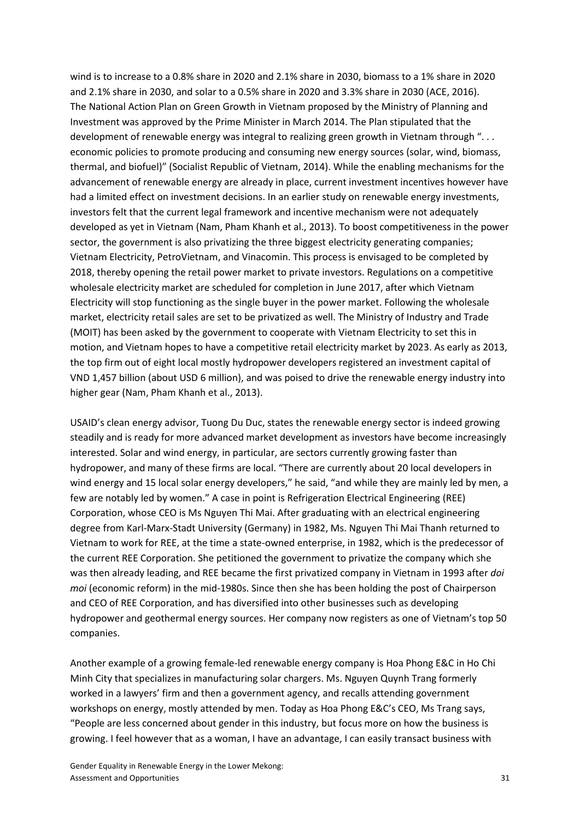wind is to increase to a 0.8% share in 2020 and 2.1% share in 2030, biomass to a 1% share in 2020 and 2.1% share in 2030, and solar to a 0.5% share in 2020 and 3.3% share in 2030 (ACE, 2016). The National Action Plan on Green Growth in Vietnam proposed by the Ministry of Planning and Investment was approved by the Prime Minister in March 2014. The Plan stipulated that the development of renewable energy was integral to realizing green growth in Vietnam through "... economic policies to promote producing and consuming new energy sources (solar, wind, biomass, thermal, and biofuel)" (Socialist Republic of Vietnam, 2014). While the enabling mechanisms for the advancement of renewable energy are already in place, current investment incentives however have had a limited effect on investment decisions. In an earlier study on renewable energy investments, investors felt that the current legal framework and incentive mechanism were not adequately developed as yet in Vietnam (Nam, Pham Khanh et al., 2013). To boost competitiveness in the power sector, the government is also privatizing the three biggest electricity generating companies; Vietnam Electricity, PetroVietnam, and Vinacomin. This process is envisaged to be completed by 2018, thereby opening the retail power market to private investors. Regulations on a competitive wholesale electricity market are scheduled for completion in June 2017, after which Vietnam Electricity will stop functioning as the single buyer in the power market. Following the wholesale market, electricity retail sales are set to be privatized as well. The Ministry of Industry and Trade (MOIT) has been asked by the government to cooperate with Vietnam Electricity to set this in motion, and Vietnam hopes to have a competitive retail electricity market by 2023. As early as 2013, the top firm out of eight local mostly hydropower developers registered an investment capital of VND 1,457 billion (about USD 6 million), and was poised to drive the renewable energy industry into higher gear (Nam, Pham Khanh et al., 2013).

USAID's clean energy advisor, Tuong Du Duc, states the renewable energy sector is indeed growing steadily and is ready for more advanced market development as investors have become increasingly interested. Solar and wind energy, in particular, are sectors currently growing faster than hydropower, and many of these firms are local. "There are currently about 20 local developers in wind energy and 15 local solar energy developers," he said, "and while they are mainly led by men, a few are notably led by women." A case in point is Refrigeration Electrical Engineering (REE) Corporation, whose CEO is Ms Nguyen Thi Mai. After graduating with an electrical engineering degree from Karl-Marx-Stadt University (Germany) in 1982, Ms. Nguyen Thi Mai Thanh returned to Vietnam to work for REE, at the time a state-owned enterprise, in 1982, which is the predecessor of the current REE Corporation. She petitioned the government to privatize the company which she was then already leading, and REE became the first privatized company in Vietnam in 1993 after *doi moi* (economic reform) in the mid-1980s. Since then she has been holding the post of Chairperson and CEO of REE Corporation, and has diversified into other businesses such as developing hydropower and geothermal energy sources. Her company now registers as one of Vietnam's top 50 companies.

Another example of a growing female-led renewable energy company is Hoa Phong E&C in Ho Chi Minh City that specializes in manufacturing solar chargers. Ms. Nguyen Quynh Trang formerly worked in a lawyers' firm and then a government agency, and recalls attending government workshops on energy, mostly attended by men. Today as Hoa Phong E&C's CEO, Ms Trang says, "People are less concerned about gender in this industry, but focus more on how the business is growing. I feel however that as a woman, I have an advantage, I can easily transact business with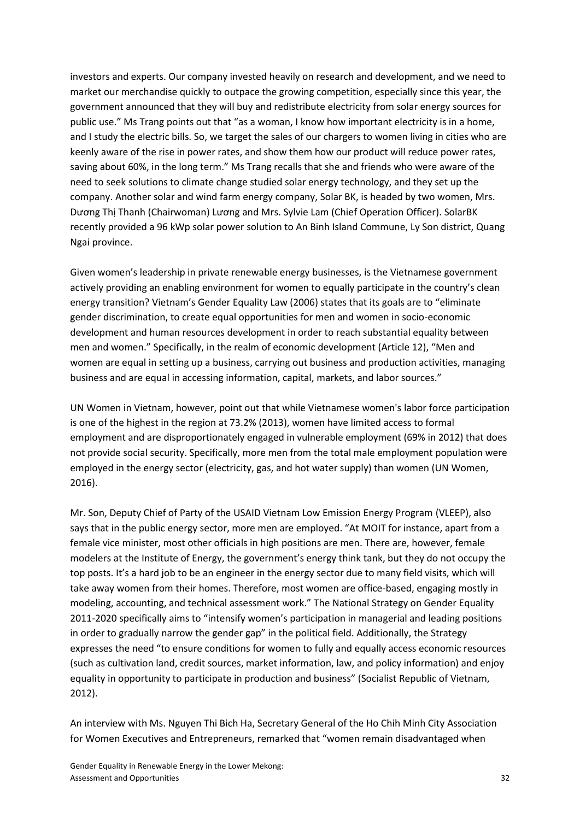investors and experts. Our company invested heavily on research and development, and we need to market our merchandise quickly to outpace the growing competition, especially since this year, the government announced that they will buy and redistribute electricity from solar energy sources for public use." Ms Trang points out that "as a woman, I know how important electricity is in a home, and I study the electric bills. So, we target the sales of our chargers to women living in cities who are keenly aware of the rise in power rates, and show them how our product will reduce power rates, saving about 60%, in the long term." Ms Trang recalls that she and friends who were aware of the need to seek solutions to climate change studied solar energy technology, and they set up the company. Another solar and wind farm energy company, Solar BK, is headed by two women, Mrs. Dương Thị Thanh (Chairwoman) Lương and Mrs. Sylvie Lam (Chief Operation Officer). SolarBK recently provided a 96 kWp solar power solution to An Binh Island Commune, Ly Son district, Quang Ngai province.

Given women's leadership in private renewable energy businesses, is the Vietnamese government actively providing an enabling environment for women to equally participate in the country's clean energy transition? Vietnam's Gender Equality Law (2006) states that its goals are to "eliminate gender discrimination, to create equal opportunities for men and women in socio-economic development and human resources development in order to reach substantial equality between men and women." Specifically, in the realm of economic development (Article 12), "Men and women are equal in setting up a business, carrying out business and production activities, managing business and are equal in accessing information, capital, markets, and labor sources."

UN Women in Vietnam, however, point out that while Vietnamese women's labor force participation is one of the highest in the region at 73.2% (2013), women have limited access to formal employment and are disproportionately engaged in vulnerable employment (69% in 2012) that does not provide social security. Specifically, more men from the total male employment population were employed in the energy sector (electricity, gas, and hot water supply) than women (UN Women, 2016).

Mr. Son, Deputy Chief of Party of the USAID Vietnam Low Emission Energy Program (VLEEP), also says that in the public energy sector, more men are employed. "At MOIT for instance, apart from a female vice minister, most other officials in high positions are men. There are, however, female modelers at the Institute of Energy, the government's energy think tank, but they do not occupy the top posts. It's a hard job to be an engineer in the energy sector due to many field visits, which will take away women from their homes. Therefore, most women are office-based, engaging mostly in modeling, accounting, and technical assessment work." The National Strategy on Gender Equality 2011-2020 specifically aims to "intensify women's participation in managerial and leading positions in order to gradually narrow the gender gap" in the political field. Additionally, the Strategy expresses the need "to ensure conditions for women to fully and equally access economic resources (such as cultivation land, credit sources, market information, law, and policy information) and enjoy equality in opportunity to participate in production and business" (Socialist Republic of Vietnam, 2012).

An interview with Ms. Nguyen Thi Bich Ha, Secretary General of the Ho Chih Minh City Association for Women Executives and Entrepreneurs, remarked that "women remain disadvantaged when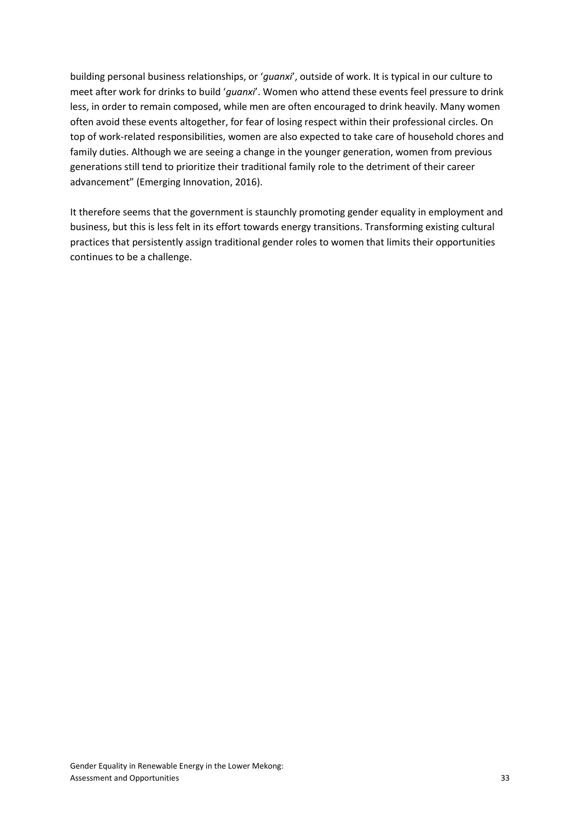building personal business relationships, or '*guanxi*', outside of work. It is typical in our culture to meet after work for drinks to build '*guanxi*'. Women who attend these events feel pressure to drink less, in order to remain composed, while men are often encouraged to drink heavily. Many women often avoid these events altogether, for fear of losing respect within their professional circles. On top of work-related responsibilities, women are also expected to take care of household chores and family duties. Although we are seeing a change in the younger generation, women from previous generations still tend to prioritize their traditional family role to the detriment of their career advancement" (Emerging Innovation, 2016).

It therefore seems that the government is staunchly promoting gender equality in employment and business, but this is less felt in its effort towards energy transitions. Transforming existing cultural practices that persistently assign traditional gender roles to women that limits their opportunities continues to be a challenge.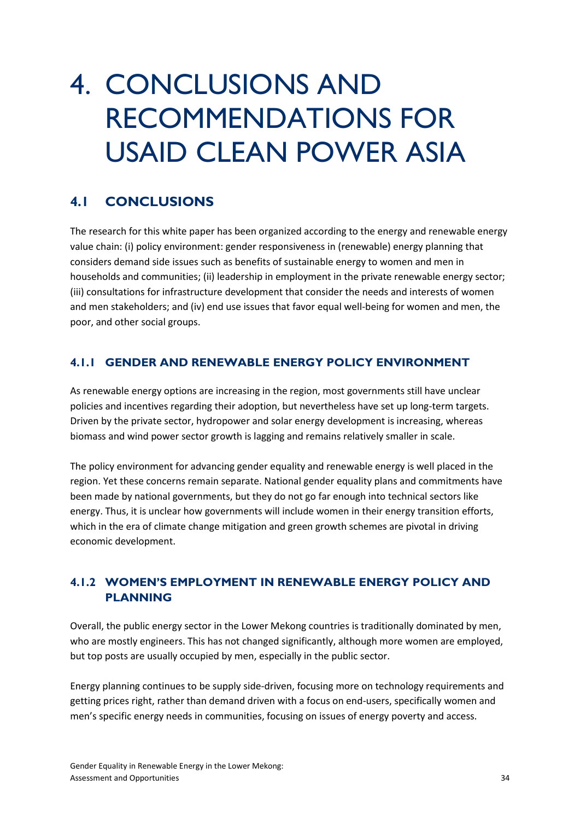## 4. CONCLUSIONS AND RECOMMENDATIONS FOR USAID CLEAN POWER ASIA

## **4.1 CONCLUSIONS**

The research for this white paper has been organized according to the energy and renewable energy value chain: (i) policy environment: gender responsiveness in (renewable) energy planning that considers demand side issues such as benefits of sustainable energy to women and men in households and communities; (ii) leadership in employment in the private renewable energy sector; (iii) consultations for infrastructure development that consider the needs and interests of women and men stakeholders; and (iv) end use issues that favor equal well-being for women and men, the poor, and other social groups.

#### **4.1.1 GENDER AND RENEWABLE ENERGY POLICY ENVIRONMENT**

As renewable energy options are increasing in the region, most governments still have unclear policies and incentives regarding their adoption, but nevertheless have set up long-term targets. Driven by the private sector, hydropower and solar energy development is increasing, whereas biomass and wind power sector growth is lagging and remains relatively smaller in scale.

The policy environment for advancing gender equality and renewable energy is well placed in the region. Yet these concerns remain separate. National gender equality plans and commitments have been made by national governments, but they do not go far enough into technical sectors like energy. Thus, it is unclear how governments will include women in their energy transition efforts, which in the era of climate change mitigation and green growth schemes are pivotal in driving economic development.

#### **4.1.2 WOMEN'S EMPLOYMENT IN RENEWABLE ENERGY POLICY AND PLANNING**

Overall, the public energy sector in the Lower Mekong countries is traditionally dominated by men, who are mostly engineers. This has not changed significantly, although more women are employed, but top posts are usually occupied by men, especially in the public sector.

Energy planning continues to be supply side-driven, focusing more on technology requirements and getting prices right, rather than demand driven with a focus on end-users, specifically women and men's specific energy needs in communities, focusing on issues of energy poverty and access.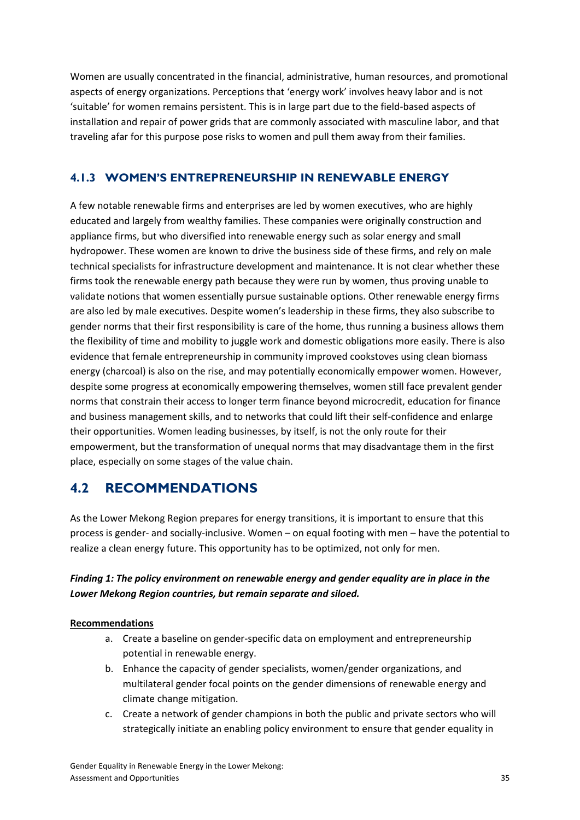Women are usually concentrated in the financial, administrative, human resources, and promotional aspects of energy organizations. Perceptions that 'energy work' involves heavy labor and is not 'suitable' for women remains persistent. This is in large part due to the field-based aspects of installation and repair of power grids that are commonly associated with masculine labor, and that traveling afar for this purpose pose risks to women and pull them away from their families.

#### **4.1.3 WOMEN'S ENTREPRENEURSHIP IN RENEWABLE ENERGY**

A few notable renewable firms and enterprises are led by women executives, who are highly educated and largely from wealthy families. These companies were originally construction and appliance firms, but who diversified into renewable energy such as solar energy and small hydropower. These women are known to drive the business side of these firms, and rely on male technical specialists for infrastructure development and maintenance. It is not clear whether these firms took the renewable energy path because they were run by women, thus proving unable to validate notions that women essentially pursue sustainable options. Other renewable energy firms are also led by male executives. Despite women's leadership in these firms, they also subscribe to gender norms that their first responsibility is care of the home, thus running a business allows them the flexibility of time and mobility to juggle work and domestic obligations more easily. There is also evidence that female entrepreneurship in community improved cookstoves using clean biomass energy (charcoal) is also on the rise, and may potentially economically empower women. However, despite some progress at economically empowering themselves, women still face prevalent gender norms that constrain their access to longer term finance beyond microcredit, education for finance and business management skills, and to networks that could lift their self-confidence and enlarge their opportunities. Women leading businesses, by itself, is not the only route for their empowerment, but the transformation of unequal norms that may disadvantage them in the first place, especially on some stages of the value chain.

### **4.2 RECOMMENDATIONS**

As the Lower Mekong Region prepares for energy transitions, it is important to ensure that this process is gender- and socially-inclusive. Women – on equal footing with men – have the potential to realize a clean energy future. This opportunity has to be optimized, not only for men.

#### *Finding 1: The policy environment on renewable energy and gender equality are in place in the Lower Mekong Region countries, but remain separate and siloed.*

#### **Recommendations**

- a. Create a baseline on gender-specific data on employment and entrepreneurship potential in renewable energy.
- b. Enhance the capacity of gender specialists, women/gender organizations, and multilateral gender focal points on the gender dimensions of renewable energy and climate change mitigation.
- c. Create a network of gender champions in both the public and private sectors who will strategically initiate an enabling policy environment to ensure that gender equality in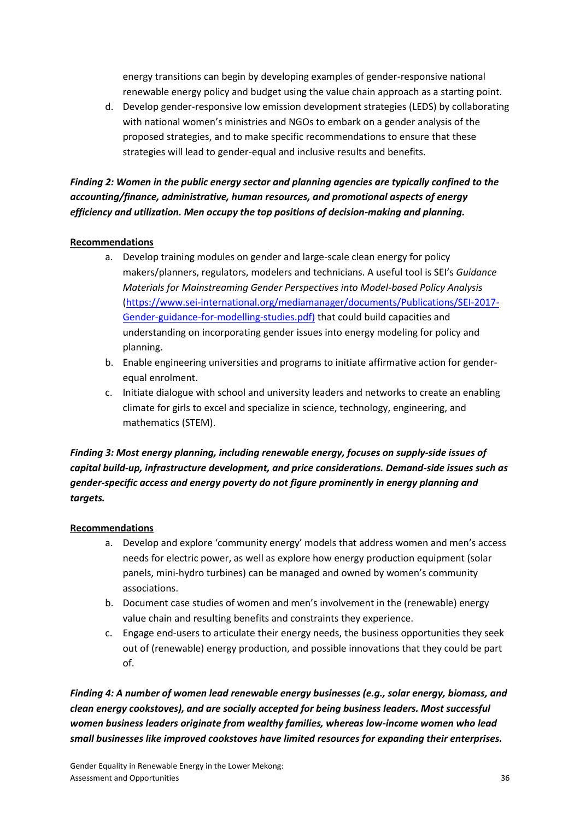energy transitions can begin by developing examples of gender-responsive national renewable energy policy and budget using the value chain approach as a starting point.

d. Develop gender-responsive low emission development strategies (LEDS) by collaborating with national women's ministries and NGOs to embark on a gender analysis of the proposed strategies, and to make specific recommendations to ensure that these strategies will lead to gender-equal and inclusive results and benefits.

#### *Finding 2: Women in the public energy sector and planning agencies are typically confined to the accounting/finance, administrative, human resources, and promotional aspects of energy efficiency and utilization. Men occupy the top positions of decision-making and planning.*

#### **Recommendations**

- a. Develop training modules on gender and large-scale clean energy for policy makers/planners, regulators, modelers and technicians. A useful tool is SEI's *Guidance Materials for Mainstreaming Gender Perspectives into Model-based Policy Analysis*  [\(https://www.sei-international.org/mediamanager/documents/Publications/SEI-2017-](https://www.sei-international.org/mediamanager/documents/Publications/SEI-2017-Gender-guidance-for-modelling-studies.pdf)) [Gender-guidance-for-modelling-studies.pdf\)](https://www.sei-international.org/mediamanager/documents/Publications/SEI-2017-Gender-guidance-for-modelling-studies.pdf)) that could build capacities and understanding on incorporating gender issues into energy modeling for policy and planning.
- b. Enable engineering universities and programs to initiate affirmative action for genderequal enrolment.
- c. Initiate dialogue with school and university leaders and networks to create an enabling climate for girls to excel and specialize in science, technology, engineering, and mathematics (STEM).

#### *Finding 3: Most energy planning, including renewable energy, focuses on supply-side issues of capital build-up, infrastructure development, and price considerations. Demand-side issues such as gender-specific access and energy poverty do not figure prominently in energy planning and targets.*

#### **Recommendations**

- a. Develop and explore 'community energy' models that address women and men's access needs for electric power, as well as explore how energy production equipment (solar panels, mini-hydro turbines) can be managed and owned by women's community associations.
- b. Document case studies of women and men's involvement in the (renewable) energy value chain and resulting benefits and constraints they experience.
- c. Engage end-users to articulate their energy needs, the business opportunities they seek out of (renewable) energy production, and possible innovations that they could be part of.

*Finding 4: A number of women lead renewable energy businesses (e.g., solar energy, biomass, and clean energy cookstoves), and are socially accepted for being business leaders. Most successful women business leaders originate from wealthy families, whereas low-income women who lead small businesses like improved cookstoves have limited resources for expanding their enterprises.*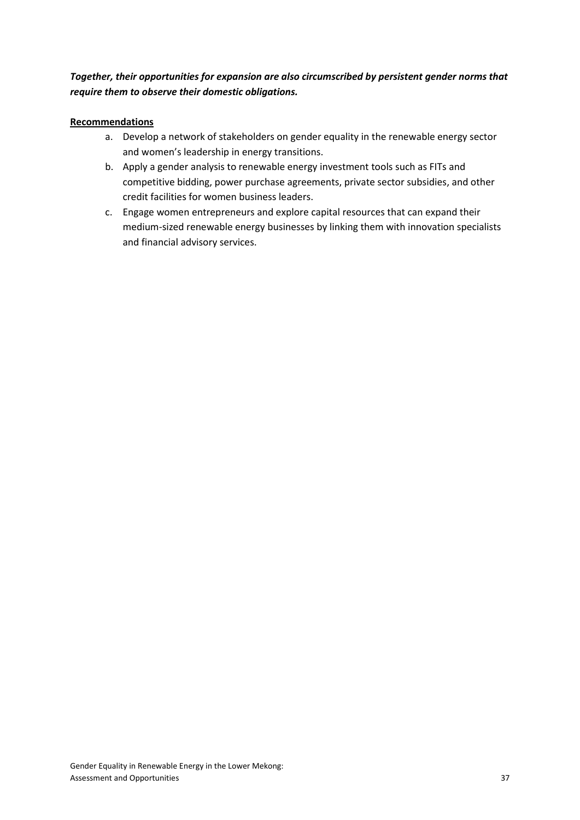#### *Together, their opportunities for expansion are also circumscribed by persistent gender norms that require them to observe their domestic obligations.*

#### **Recommendations**

- a. Develop a network of stakeholders on gender equality in the renewable energy sector and women's leadership in energy transitions.
- b. Apply a gender analysis to renewable energy investment tools such as FITs and competitive bidding, power purchase agreements, private sector subsidies, and other credit facilities for women business leaders.
- c. Engage women entrepreneurs and explore capital resources that can expand their medium-sized renewable energy businesses by linking them with innovation specialists and financial advisory services.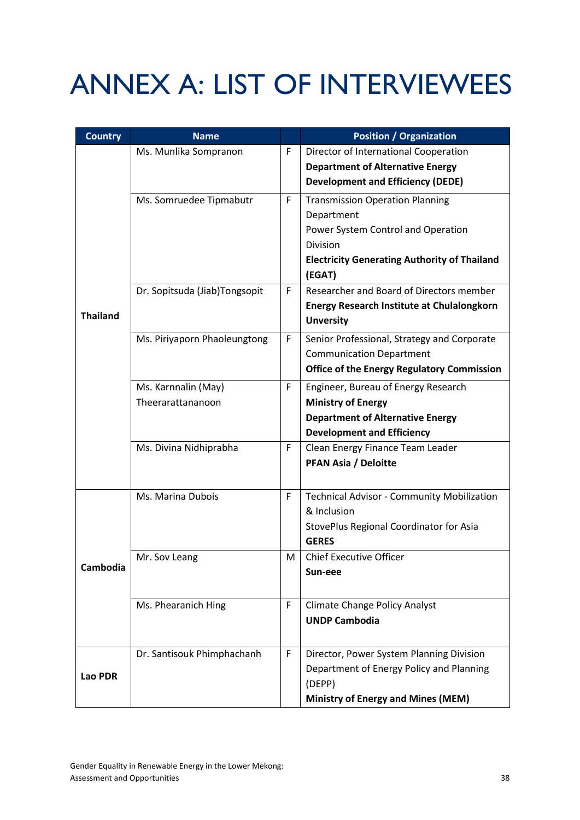# ANNEX A: LIST OF INTERVIEWEES

| <b>Country</b>  | <b>Name</b>                   |   | <b>Position / Organization</b>                                                   |
|-----------------|-------------------------------|---|----------------------------------------------------------------------------------|
|                 | Ms. Munlika Sompranon         | F | Director of International Cooperation<br><b>Department of Alternative Energy</b> |
|                 |                               |   | <b>Development and Efficiency (DEDE)</b>                                         |
|                 | Ms. Somruedee Tipmabutr       | F | <b>Transmission Operation Planning</b>                                           |
|                 |                               |   | Department<br>Power System Control and Operation                                 |
|                 |                               |   | Division                                                                         |
|                 |                               |   | <b>Electricity Generating Authority of Thailand</b>                              |
|                 |                               |   | (EGAT)                                                                           |
|                 | Dr. Sopitsuda (Jiab)Tongsopit | F | Researcher and Board of Directors member                                         |
| <b>Thailand</b> |                               |   | <b>Energy Research Institute at Chulalongkorn</b>                                |
|                 |                               |   | <b>Unversity</b>                                                                 |
|                 | Ms. Piriyaporn Phaoleungtong  | F | Senior Professional, Strategy and Corporate                                      |
|                 |                               |   | <b>Communication Department</b>                                                  |
|                 |                               |   | <b>Office of the Energy Regulatory Commission</b>                                |
|                 | Ms. Karnnalin (May)           | F | Engineer, Bureau of Energy Research                                              |
|                 | Theerarattananoon             |   | <b>Ministry of Energy</b>                                                        |
|                 |                               |   | <b>Department of Alternative Energy</b>                                          |
|                 |                               |   | <b>Development and Efficiency</b>                                                |
|                 | Ms. Divina Nidhiprabha        | F | Clean Energy Finance Team Leader                                                 |
|                 |                               |   | <b>PFAN Asia / Deloitte</b>                                                      |
|                 | Ms. Marina Dubois             | F | Technical Advisor - Community Mobilization                                       |
|                 |                               |   | & Inclusion                                                                      |
|                 |                               |   | StovePlus Regional Coordinator for Asia                                          |
|                 |                               |   | <b>GERES</b>                                                                     |
| <b>Cambodia</b> | Mr. Sov Leang                 | M | <b>Chief Executive Officer</b>                                                   |
|                 |                               |   | Sun-eee                                                                          |
|                 | Ms. Phearanich Hing           | F | <b>Climate Change Policy Analyst</b>                                             |
|                 |                               |   | <b>UNDP Cambodia</b>                                                             |
|                 | Dr. Santisouk Phimphachanh    | F | Director, Power System Planning Division                                         |
| Lao PDR         |                               |   | Department of Energy Policy and Planning                                         |
|                 |                               |   | (DEPP)                                                                           |
|                 |                               |   | <b>Ministry of Energy and Mines (MEM)</b>                                        |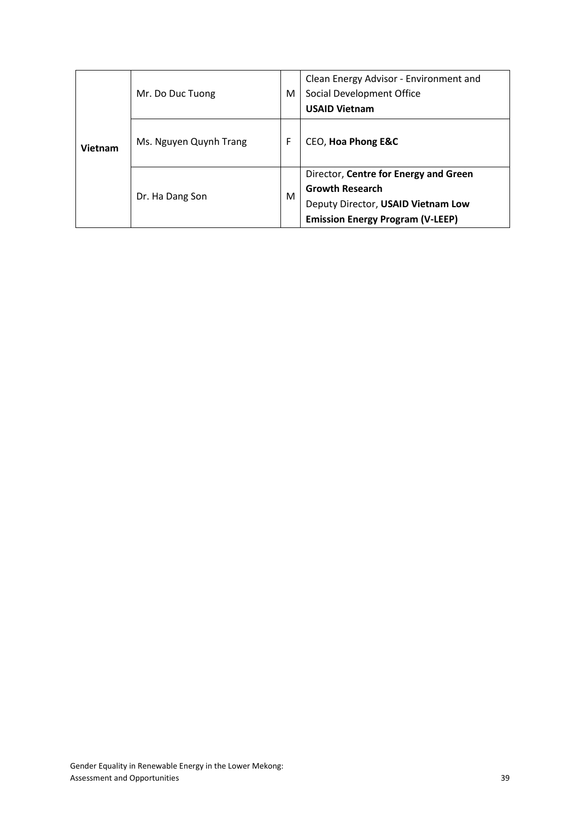| Vietnam | Mr. Do Duc Tuong       |   | Clean Energy Advisor - Environment and<br>Social Development Office<br><b>USAID Vietnam</b> |
|---------|------------------------|---|---------------------------------------------------------------------------------------------|
|         | Ms. Nguyen Quynh Trang |   | CEO, Hoa Phong E&C                                                                          |
|         | Dr. Ha Dang Son        |   | Director, Centre for Energy and Green<br><b>Growth Research</b>                             |
|         |                        | м | Deputy Director, USAID Vietnam Low                                                          |
|         |                        |   | <b>Emission Energy Program (V-LEEP)</b>                                                     |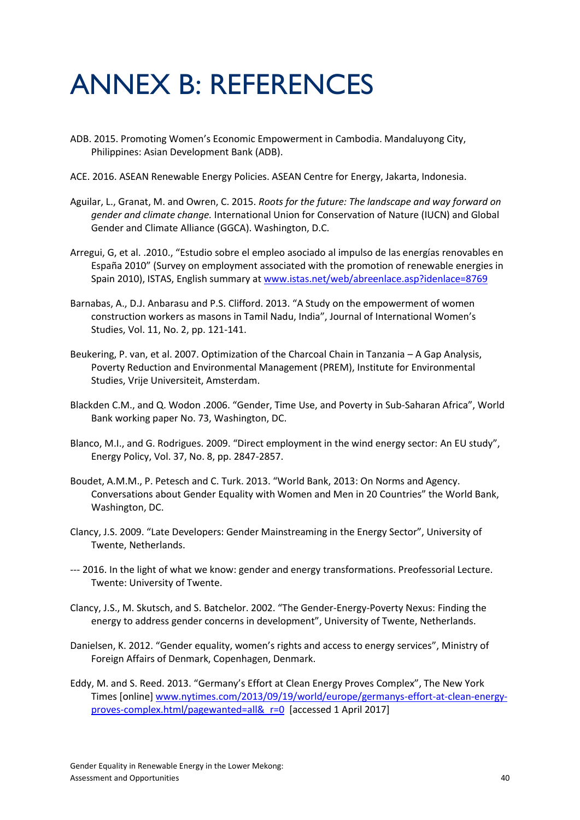## ANNEX B: REFERENCES

- ADB. 2015. Promoting Women's Economic Empowerment in Cambodia. Mandaluyong City, Philippines: Asian Development Bank (ADB).
- ACE. 2016. ASEAN Renewable Energy Policies. ASEAN Centre for Energy, Jakarta, Indonesia.
- Aguilar, L., Granat, M. and Owren, C. 2015. *Roots for the future: The landscape and way forward on gender and climate change.* International Union for Conservation of Nature (IUCN) and Global Gender and Climate Alliance (GGCA). Washington, D.C.
- Arregui, G, et al. .2010., "Estudio sobre el empleo asociado al impulso de las energías renovables en España 2010" (Survey on employment associated with the promotion of renewable energies in Spain 2010), ISTAS, English summary at [www.istas.net/web/abreenlace.asp?idenlace=8769](http://www.istas.net/web/abreenlace.asp?idenlace=8769)
- Barnabas, A., D.J. Anbarasu and P.S. Clifford. 2013. "A Study on the empowerment of women construction workers as masons in Tamil Nadu, India", Journal of International Women's Studies, Vol. 11, No. 2, pp. 121-141.
- Beukering, P. van, et al. 2007. Optimization of the Charcoal Chain in Tanzania A Gap Analysis, Poverty Reduction and Environmental Management (PREM), Institute for Environmental Studies, Vrije Universiteit, Amsterdam.
- Blackden C.M., and Q. Wodon .2006. "Gender, Time Use, and Poverty in Sub-Saharan Africa", World Bank working paper No. 73, Washington, DC.
- Blanco, M.I., and G. Rodrigues. 2009. "Direct employment in the wind energy sector: An EU study", Energy Policy, Vol. 37, No. 8, pp. 2847-2857.
- Boudet, A.M.M., P. Petesch and C. Turk. 2013. "World Bank, 2013: On Norms and Agency. Conversations about Gender Equality with Women and Men in 20 Countries" the World Bank, Washington, DC.
- Clancy, J.S. 2009. "Late Developers: Gender Mainstreaming in the Energy Sector", University of Twente, Netherlands.
- --- 2016. In the light of what we know: gender and energy transformations. Preofessorial Lecture. Twente: University of Twente.
- Clancy, J.S., M. Skutsch, and S. Batchelor. 2002. "The Gender-Energy-Poverty Nexus: Finding the energy to address gender concerns in development", University of Twente, Netherlands.
- Danielsen, K. 2012. "Gender equality, women's rights and access to energy services", Ministry of Foreign Affairs of Denmark, Copenhagen, Denmark.
- Eddy, M. and S. Reed. 2013. "Germany's Effort at Clean Energy Proves Complex", The New York Times [online[\] www.nytimes.com/2013/09/19/world/europe/germanys-effort-at-clean-energy](http://www.nytimes.com/2013/09/19/world/europe/germanys-effort-at-clean-energy-proves-complex.html/pagewanted=all&_r=0)[proves-complex.html/pagewanted=all&\\_r=0](http://www.nytimes.com/2013/09/19/world/europe/germanys-effort-at-clean-energy-proves-complex.html/pagewanted=all&_r=0) [accessed 1 April 2017]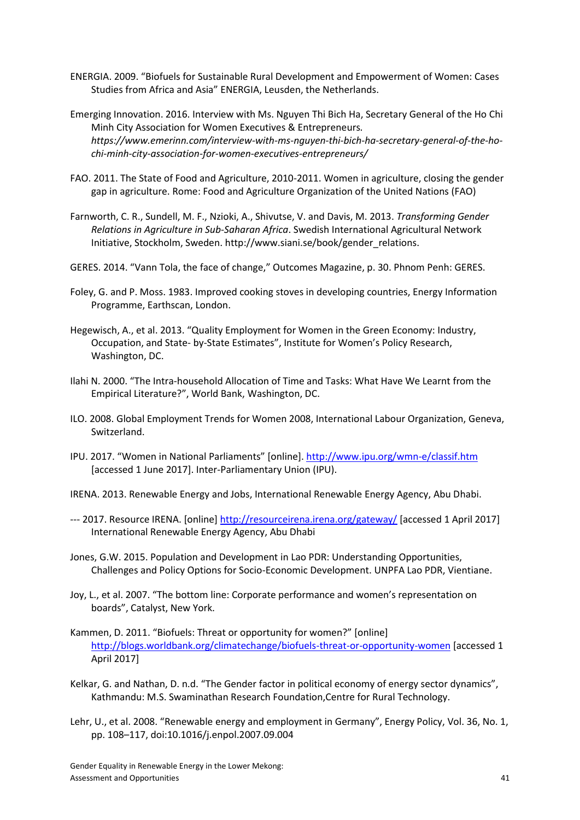- ENERGIA. 2009. "Biofuels for Sustainable Rural Development and Empowerment of Women: Cases Studies from Africa and Asia" ENERGIA, Leusden, the Netherlands.
- Emerging Innovation. 2016. Interview with Ms. Nguyen Thi Bich Ha, Secretary General of the Ho Chi Minh City Association for Women Executives & Entrepreneurs*. https://www.emerinn.com/interview-with-ms-nguyen-thi-bich-ha-secretary-general-of-the-hochi-minh-city-association-for-women-executives-entrepreneurs/*
- FAO. 2011. The State of Food and Agriculture, 2010-2011. Women in agriculture, closing the gender gap in agriculture. Rome: Food and Agriculture Organization of the United Nations (FAO)
- Farnworth, C. R., Sundell, M. F., Nzioki, A., Shivutse, V. and Davis, M. 2013. *Transforming Gender Relations in Agriculture in Sub-Saharan Africa*. Swedish International Agricultural Network Initiative, Stockholm, Sweden. http://www.siani.se/book/gender\_relations.
- GERES. 2014. "Vann Tola, the face of change," Outcomes Magazine, p. 30. Phnom Penh: GERES.
- Foley, G. and P. Moss. 1983. Improved cooking stoves in developing countries, Energy Information Programme, Earthscan, London.
- Hegewisch, A., et al. 2013. "Quality Employment for Women in the Green Economy: Industry, Occupation, and State- by-State Estimates", Institute for Women's Policy Research, Washington, DC.
- Ilahi N. 2000. "The Intra-household Allocation of Time and Tasks: What Have We Learnt from the Empirical Literature?", World Bank, Washington, DC.
- ILO. 2008. Global Employment Trends for Women 2008, International Labour Organization, Geneva, Switzerland.
- IPU. 2017. "Women in National Parliaments" [online]. <http://www.ipu.org/wmn-e/classif.htm> [accessed 1 June 2017]. Inter-Parliamentary Union (IPU).
- IRENA. 2013. Renewable Energy and Jobs, International Renewable Energy Agency, Abu Dhabi.
- --- 2017. Resource IRENA. [online]<http://resourceirena.irena.org/gateway/> [accessed 1 April 2017] International Renewable Energy Agency, Abu Dhabi
- Jones, G.W. 2015. Population and Development in Lao PDR: Understanding Opportunities, Challenges and Policy Options for Socio-Economic Development. UNPFA Lao PDR, Vientiane.
- Joy, L., et al. 2007. "The bottom line: Corporate performance and women's representation on boards", Catalyst, New York.
- Kammen, D. 2011. "Biofuels: Threat or opportunity for women?" [online] <http://blogs.worldbank.org/climatechange/biofuels-threat-or-opportunity-women> [accessed 1 April 2017]
- Kelkar, G. and Nathan, D. n.d. "The Gender factor in political economy of energy sector dynamics", Kathmandu: M.S. Swaminathan Research Foundation,Centre for Rural Technology.
- Lehr, U., et al. 2008. "Renewable energy and employment in Germany", Energy Policy, Vol. 36, No. 1, pp. 108–117, doi:10.1016/j.enpol.2007.09.004